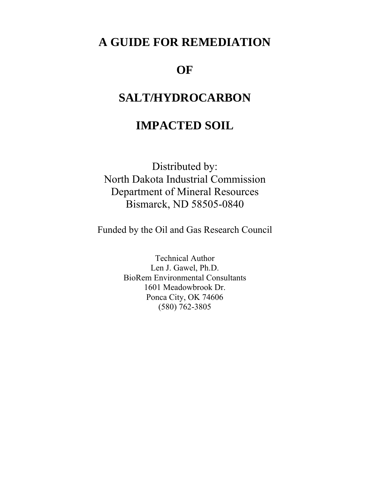## **A GUIDE FOR REMEDIATION**

## **OF**

## **SALT/HYDROCARBON**

## **IMPACTED SOIL**

Distributed by: North Dakota Industrial Commission Department of Mineral Resources Bismarck, ND 58505-0840

Funded by the Oil and Gas Research Council

Technical Author Len J. Gawel, Ph.D. BioRem Environmental Consultants 1601 Meadowbrook Dr. Ponca City, OK 74606 (580) 762-3805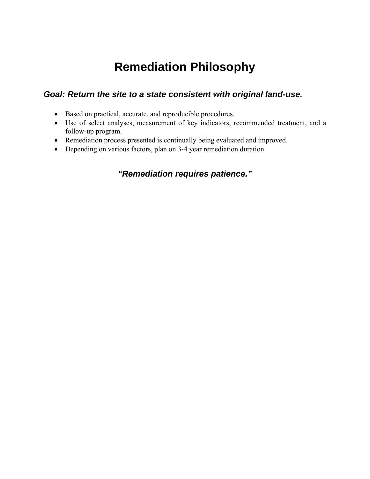# **Remediation Philosophy**

### *Goal: Return the site to a state consistent with original land-use.*

- Based on practical, accurate, and reproducible procedures.
- Use of select analyses, measurement of key indicators, recommended treatment, and a follow-up program.
- Remediation process presented is continually being evaluated and improved.
- Depending on various factors, plan on 3-4 year remediation duration.

### *"Remediation requires patience."*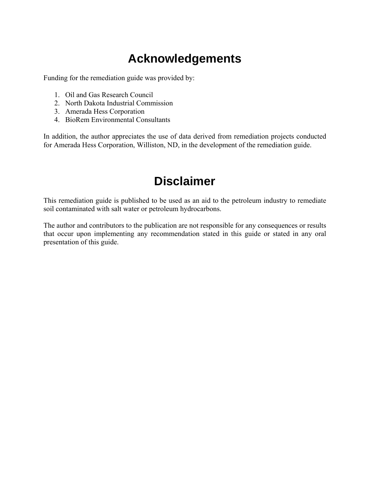# **Acknowledgements**

Funding for the remediation guide was provided by:

- 1. Oil and Gas Research Council
- 2. North Dakota Industrial Commission
- 3. Amerada Hess Corporation
- 4. BioRem Environmental Consultants

In addition, the author appreciates the use of data derived from remediation projects conducted for Amerada Hess Corporation, Williston, ND, in the development of the remediation guide.

# **Disclaimer**

This remediation guide is published to be used as an aid to the petroleum industry to remediate soil contaminated with salt water or petroleum hydrocarbons.

The author and contributors to the publication are not responsible for any consequences or results that occur upon implementing any recommendation stated in this guide or stated in any oral presentation of this guide.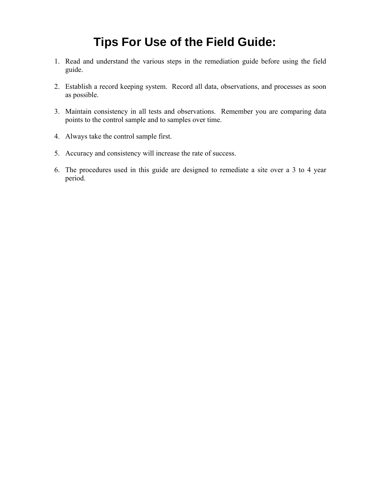# **Tips For Use of the Field Guide:**

- 1. Read and understand the various steps in the remediation guide before using the field guide.
- 2. Establish a record keeping system. Record all data, observations, and processes as soon as possible.
- 3. Maintain consistency in all tests and observations. Remember you are comparing data points to the control sample and to samples over time.
- 4. Always take the control sample first.
- 5. Accuracy and consistency will increase the rate of success.
- 6. The procedures used in this guide are designed to remediate a site over a 3 to 4 year period.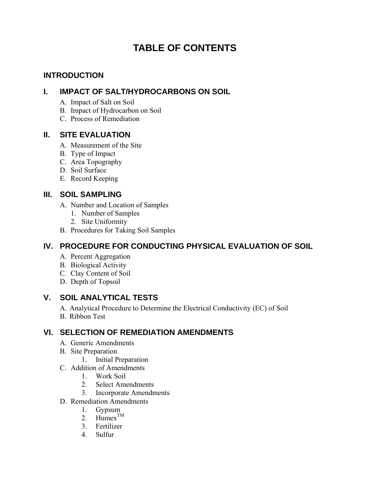## **TABLE OF CONTENTS**

### **INTRODUCTION**

### **I. IMPACT OF SALT/HYDROCARBONS ON SOIL**

- A. Impact of Salt on Soil
- B. Impact of Hydrocarbon on Soil
- C. Process of Remediation

### **II. SITE EVALUATION**

- A. Measurement of the Site
- B. Type of Impact
- C. Area Topography
- D. Soil Surface
- E. Record Keeping

### **III. SOIL SAMPLING**

- A. Number and Location of Samples
	- 1. Number of Samples
	- 2. Site Uniformity
- B. Procedures for Taking Soil Samples

### **IV. PROCEDURE FOR CONDUCTING PHYSICAL EVALUATION OF SOIL**

- A. Percent Aggregation
- B. Biological Activity
- C. Clay Content of Soil
- D. Depth of Topsoil

### **V. SOIL ANALYTICAL TESTS**

- A. Analytical Procedure to Determine the Electrical Conductivity (EC) of Soil
- B. Ribbon Test

### **VI. SELECTION OF REMEDIATION AMENDMENTS**

- A. Generic Amendments
- B. Site Preparation
	- 1. Initial Preparation
- C. Addition of Amendments
	- 1. Work Soil
	- 2. Select Amendments
	- 3. Incorporate Amendments
- D. Remediation Amendments
	- 1. Gypsum
	- 2.  $H$ umex<sup>TM</sup>
	- 3. Fertilizer
	- 4. Sulfur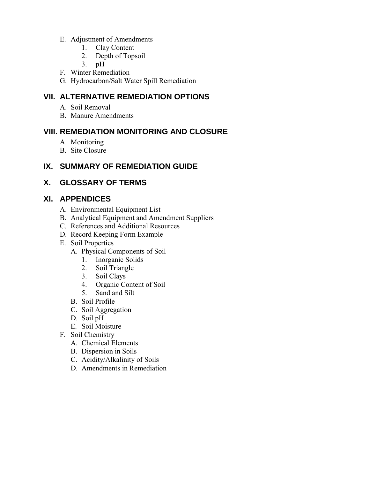- E. Adjustment of Amendments
	- 1. Clay Content
	- 2. Depth of Topsoil
	- 3. pH
- F. Winter Remediation
- G. Hydrocarbon/Salt Water Spill Remediation

### **VII. ALTERNATIVE REMEDIATION OPTIONS**

- A. Soil Removal
- B. Manure Amendments

### **VIII. REMEDIATION MONITORING AND CLOSURE**

- A. Monitoring
- B. Site Closure

### **IX. SUMMARY OF REMEDIATION GUIDE**

### **X. GLOSSARY OF TERMS**

### **XI. APPENDICES**

- A. Environmental Equipment List
- B. Analytical Equipment and Amendment Suppliers
- C. References and Additional Resources
- D. Record Keeping Form Example
- E. Soil Properties
	- A. Physical Components of Soil
		- 1. Inorganic Solids
		- 2. Soil Triangle
		- 3. Soil Clays
		- 4. Organic Content of Soil
		- 5. Sand and Silt
	- B. Soil Profile
	- C. Soil Aggregation
	- D. Soil pH
	- E. Soil Moisture
- F. Soil Chemistry
	- A. Chemical Elements
	- B. Dispersion in Soils
	- C. Acidity/Alkalinity of Soils
	- D. Amendments in Remediation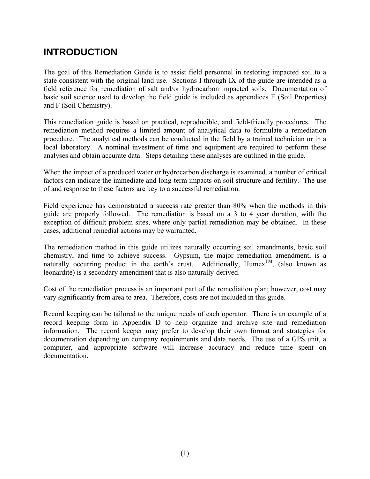## **INTRODUCTION**

The goal of this Remediation Guide is to assist field personnel in restoring impacted soil to a state consistent with the original land use. Sections I through IX of the guide are intended as a field reference for remediation of salt and/or hydrocarbon impacted soils. Documentation of basic soil science used to develop the field guide is included as appendices E (Soil Properties) and F (Soil Chemistry).

This remediation guide is based on practical, reproducible, and field-friendly procedures. The remediation method requires a limited amount of analytical data to formulate a remediation procedure. The analytical methods can be conducted in the field by a trained technician or in a local laboratory. A nominal investment of time and equipment are required to perform these analyses and obtain accurate data. Steps detailing these analyses are outlined in the guide.

When the impact of a produced water or hydrocarbon discharge is examined, a number of critical factors can indicate the immediate and long-term impacts on soil structure and fertility. The use of and response to these factors are key to a successful remediation.

Field experience has demonstrated a success rate greater than 80% when the methods in this guide are properly followed. The remediation is based on a 3 to 4 year duration, with the exception of difficult problem sites, where only partial remediation may be obtained. In these cases, additional remedial actions may be warranted.

The remediation method in this guide utilizes naturally occurring soil amendments, basic soil chemistry, and time to achieve success. Gypsum, the major remediation amendment, is a naturally occurring product in the earth's crust. Additionally, Humex<sup>TM</sup>, (also known as leonardite) is a secondary amendment that is also naturally-derived.

Cost of the remediation process is an important part of the remediation plan; however, cost may vary significantly from area to area. Therefore, costs are not included in this guide.

Record keeping can be tailored to the unique needs of each operator. There is an example of a record keeping form in Appendix D to help organize and archive site and remediation information. The record keeper may prefer to develop their own format and strategies for documentation depending on company requirements and data needs. The use of a GPS unit, a computer, and appropriate software will increase accuracy and reduce time spent on documentation.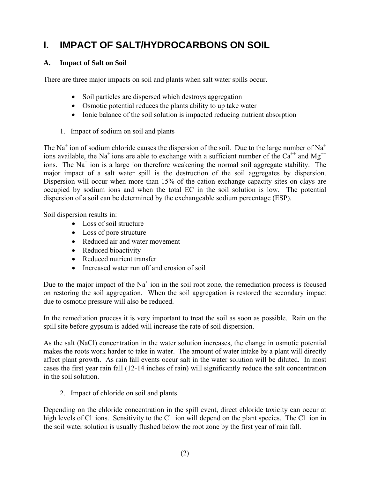## **I. IMPACT OF SALT/HYDROCARBONS ON SOIL**

### **A. Impact of Salt on Soil**

There are three major impacts on soil and plants when salt water spills occur.

- Soil particles are dispersed which destroys aggregation
- Osmotic potential reduces the plants ability to up take water
- Ionic balance of the soil solution is impacted reducing nutrient absorption
- 1. Impact of sodium on soil and plants

The Na<sup>+</sup> ion of sodium chloride causes the dispersion of the soil. Due to the large number of Na<sup>+</sup> ions available, the Na<sup>+</sup> ions are able to exchange with a sufficient number of the Ca<sup>++</sup> and Mg<sup>++</sup> ions. The  $Na<sup>+</sup>$  ion is a large ion therefore weakening the normal soil aggregate stability. The major impact of a salt water spill is the destruction of the soil aggregates by dispersion. Dispersion will occur when more than 15% of the cation exchange capacity sites on clays are occupied by sodium ions and when the total EC in the soil solution is low. The potential dispersion of a soil can be determined by the exchangeable sodium percentage (ESP).

Soil dispersion results in:

- Loss of soil structure
- Loss of pore structure
- Reduced air and water movement
- Reduced bioactivity
- Reduced nutrient transfer
- Increased water run off and erosion of soil

Due to the major impact of the  $Na<sup>+</sup>$  ion in the soil root zone, the remediation process is focused on restoring the soil aggregation. When the soil aggregation is restored the secondary impact due to osmotic pressure will also be reduced.

In the remediation process it is very important to treat the soil as soon as possible. Rain on the spill site before gypsum is added will increase the rate of soil dispersion.

As the salt (NaCl) concentration in the water solution increases, the change in osmotic potential makes the roots work harder to take in water. The amount of water intake by a plant will directly affect plant growth. As rain fall events occur salt in the water solution will be diluted. In most cases the first year rain fall (12-14 inches of rain) will significantly reduce the salt concentration in the soil solution.

2. Impact of chloride on soil and plants

Depending on the chloride concentration in the spill event, direct chloride toxicity can occur at high levels of Cl ions. Sensitivity to the Cl ion will depend on the plant species. The Cl ion in the soil water solution is usually flushed below the root zone by the first year of rain fall.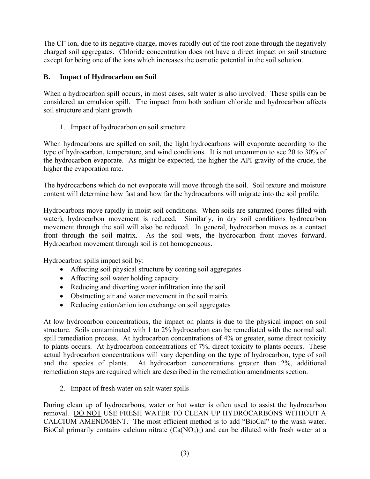The Cl<sup>-</sup> ion, due to its negative charge, moves rapidly out of the root zone through the negatively charged soil aggregates. Chloride concentration does not have a direct impact on soil structure except for being one of the ions which increases the osmotic potential in the soil solution.

### **B. Impact of Hydrocarbon on Soil**

When a hydrocarbon spill occurs, in most cases, salt water is also involved. These spills can be considered an emulsion spill. The impact from both sodium chloride and hydrocarbon affects soil structure and plant growth.

1. Impact of hydrocarbon on soil structure

When hydrocarbons are spilled on soil, the light hydrocarbons will evaporate according to the type of hydrocarbon, temperature, and wind conditions. It is not uncommon to see 20 to 30% of the hydrocarbon evaporate. As might be expected, the higher the API gravity of the crude, the higher the evaporation rate.

The hydrocarbons which do not evaporate will move through the soil. Soil texture and moisture content will determine how fast and how far the hydrocarbons will migrate into the soil profile.

Hydrocarbons move rapidly in moist soil conditions. When soils are saturated (pores filled with water), hydrocarbon movement is reduced. Similarly, in dry soil conditions hydrocarbon movement through the soil will also be reduced. In general, hydrocarbon moves as a contact front through the soil matrix. As the soil wets, the hydrocarbon front moves forward. Hydrocarbon movement through soil is not homogeneous.

Hydrocarbon spills impact soil by:

- Affecting soil physical structure by coating soil aggregates
- Affecting soil water holding capacity
- Reducing and diverting water infiltration into the soil
- Obstructing air and water movement in the soil matrix
- Reducing cation/anion ion exchange on soil aggregates

At low hydrocarbon concentrations, the impact on plants is due to the physical impact on soil structure. Soils contaminated with 1 to 2% hydrocarbon can be remediated with the normal salt spill remediation process. At hydrocarbon concentrations of 4% or greater, some direct toxicity to plants occurs. At hydrocarbon concentrations of 7%, direct toxicity to plants occurs. These actual hydrocarbon concentrations will vary depending on the type of hydrocarbon, type of soil and the species of plants. At hydrocarbon concentrations greater than 2%, additional remediation steps are required which are described in the remediation amendments section.

2. Impact of fresh water on salt water spills

During clean up of hydrocarbons, water or hot water is often used to assist the hydrocarbon removal. DO NOT USE FRESH WATER TO CLEAN UP HYDROCARBONS WITHOUT A CALCIUM AMENDMENT. The most efficient method is to add "BioCal" to the wash water. BioCal primarily contains calcium nitrate  $(Ca(NO_3)_2)$  and can be diluted with fresh water at a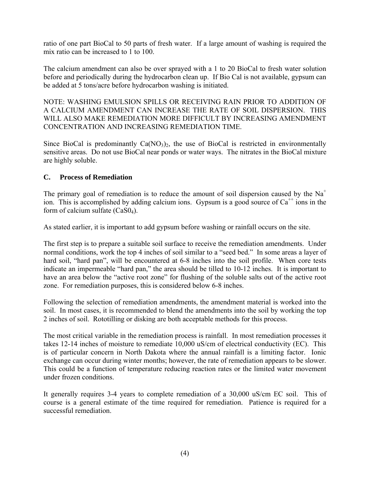ratio of one part BioCal to 50 parts of fresh water. If a large amount of washing is required the mix ratio can be increased to 1 to 100.

The calcium amendment can also be over sprayed with a 1 to 20 BioCal to fresh water solution before and periodically during the hydrocarbon clean up. If Bio Cal is not available, gypsum can be added at 5 tons/acre before hydrocarbon washing is initiated.

NOTE: WASHING EMULSION SPILLS OR RECEIVING RAIN PRIOR TO ADDITION OF A CALCIUM AMENDMENT CAN INCREASE THE RATE OF SOIL DISPERSION. THIS WILL ALSO MAKE REMEDIATION MORE DIFFICULT BY INCREASING AMENDMENT CONCENTRATION AND INCREASING REMEDIATION TIME.

Since BioCal is predominantly  $Ca(NO<sub>3</sub>)<sub>2</sub>$ , the use of BioCal is restricted in environmentally sensitive areas. Do not use BioCal near ponds or water ways. The nitrates in the BioCal mixture are highly soluble.

### **C. Process of Remediation**

The primary goal of remediation is to reduce the amount of soil dispersion caused by the  $Na<sup>+</sup>$ ion. This is accomplished by adding calcium ions. Gypsum is a good source of  $Ca^{++}$  ions in the form of calcium sulfate (CaS04).

As stated earlier, it is important to add gypsum before washing or rainfall occurs on the site.

The first step is to prepare a suitable soil surface to receive the remediation amendments. Under normal conditions, work the top 4 inches of soil similar to a "seed bed." In some areas a layer of hard soil, "hard pan", will be encountered at 6-8 inches into the soil profile. When core tests indicate an impermeable "hard pan," the area should be tilled to 10-12 inches. It is important to have an area below the "active root zone" for flushing of the soluble salts out of the active root zone. For remediation purposes, this is considered below 6-8 inches.

Following the selection of remediation amendments, the amendment material is worked into the soil. In most cases, it is recommended to blend the amendments into the soil by working the top 2 inches of soil. Rototilling or disking are both acceptable methods for this process.

The most critical variable in the remediation process is rainfall. In most remediation processes it takes 12-14 inches of moisture to remediate 10,000 uS/cm of electrical conductivity (EC). This is of particular concern in North Dakota where the annual rainfall is a limiting factor. Ionic exchange can occur during winter months; however, the rate of remediation appears to be slower. This could be a function of temperature reducing reaction rates or the limited water movement under frozen conditions.

It generally requires 3-4 years to complete remediation of a 30,000 uS/cm EC soil. This of course is a general estimate of the time required for remediation. Patience is required for a successful remediation.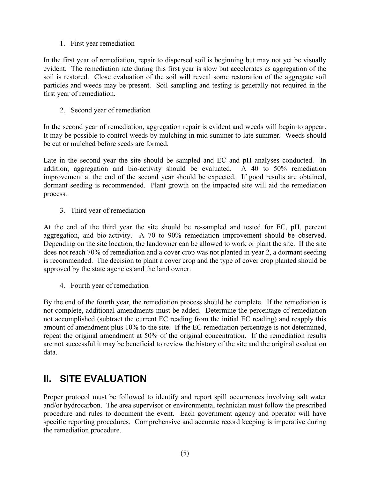### 1. First year remediation

In the first year of remediation, repair to dispersed soil is beginning but may not yet be visually evident. The remediation rate during this first year is slow but accelerates as aggregation of the soil is restored. Close evaluation of the soil will reveal some restoration of the aggregate soil particles and weeds may be present. Soil sampling and testing is generally not required in the first year of remediation.

2. Second year of remediation

In the second year of remediation, aggregation repair is evident and weeds will begin to appear. It may be possible to control weeds by mulching in mid summer to late summer. Weeds should be cut or mulched before seeds are formed.

Late in the second year the site should be sampled and EC and pH analyses conducted. In addition, aggregation and bio-activity should be evaluated. A 40 to 50% remediation improvement at the end of the second year should be expected. If good results are obtained, dormant seeding is recommended. Plant growth on the impacted site will aid the remediation process.

3. Third year of remediation

At the end of the third year the site should be re-sampled and tested for EC, pH, percent aggregation, and bio-activity. A 70 to 90% remediation improvement should be observed. Depending on the site location, the landowner can be allowed to work or plant the site. If the site does not reach 70% of remediation and a cover crop was not planted in year 2, a dormant seeding is recommended. The decision to plant a cover crop and the type of cover crop planted should be approved by the state agencies and the land owner.

4. Fourth year of remediation

By the end of the fourth year, the remediation process should be complete. If the remediation is not complete, additional amendments must be added. Determine the percentage of remediation not accomplished (subtract the current EC reading from the initial EC reading) and reapply this amount of amendment plus 10% to the site. If the EC remediation percentage is not determined, repeat the original amendment at 50% of the original concentration. If the remediation results are not successful it may be beneficial to review the history of the site and the original evaluation data.

### **II. SITE EVALUATION**

Proper protocol must be followed to identify and report spill occurrences involving salt water and/or hydrocarbon. The area supervisor or environmental technician must follow the prescribed procedure and rules to document the event. Each government agency and operator will have specific reporting procedures. Comprehensive and accurate record keeping is imperative during the remediation procedure.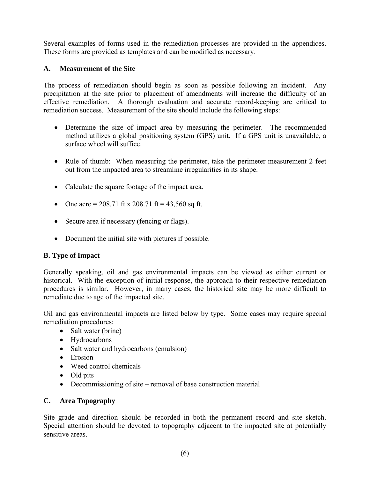Several examples of forms used in the remediation processes are provided in the appendices. These forms are provided as templates and can be modified as necessary.

### **A. Measurement of the Site**

The process of remediation should begin as soon as possible following an incident. Any precipitation at the site prior to placement of amendments will increase the difficulty of an effective remediation. A thorough evaluation and accurate record-keeping are critical to remediation success. Measurement of the site should include the following steps:

- Determine the size of impact area by measuring the perimeter. The recommended method utilizes a global positioning system (GPS) unit. If a GPS unit is unavailable, a surface wheel will suffice.
- Rule of thumb: When measuring the perimeter, take the perimeter measurement 2 feet out from the impacted area to streamline irregularities in its shape.
- Calculate the square footage of the impact area.
- One acre = 208.71 ft x 208.71 ft = 43,560 sq ft.
- Secure area if necessary (fencing or flags).
- Document the initial site with pictures if possible.

### **B. Type of Impact**

Generally speaking, oil and gas environmental impacts can be viewed as either current or historical. With the exception of initial response, the approach to their respective remediation procedures is similar. However, in many cases, the historical site may be more difficult to remediate due to age of the impacted site.

Oil and gas environmental impacts are listed below by type. Some cases may require special remediation procedures:

- Salt water (brine)
- Hydrocarbons
- Salt water and hydrocarbons (emulsion)
- Erosion
- Weed control chemicals
- Old pits
- Decommissioning of site removal of base construction material

### **C. Area Topography**

Site grade and direction should be recorded in both the permanent record and site sketch. Special attention should be devoted to topography adjacent to the impacted site at potentially sensitive areas.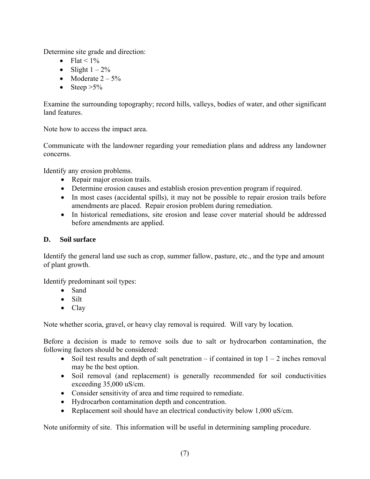Determine site grade and direction:

- Flat <  $1\%$
- Slight  $1 2\%$
- Moderate  $2 5\%$
- Steep  $>5\%$

Examine the surrounding topography; record hills, valleys, bodies of water, and other significant land features.

Note how to access the impact area.

Communicate with the landowner regarding your remediation plans and address any landowner concerns.

Identify any erosion problems.

- Repair major erosion trails.
- Determine erosion causes and establish erosion prevention program if required.
- In most cases (accidental spills), it may not be possible to repair erosion trails before amendments are placed. Repair erosion problem during remediation.
- In historical remediations, site erosion and lease cover material should be addressed before amendments are applied.

### **D. Soil surface**

Identify the general land use such as crop, summer fallow, pasture, etc., and the type and amount of plant growth.

Identify predominant soil types:

- Sand
- Silt
- Clay

Note whether scoria, gravel, or heavy clay removal is required. Will vary by location.

Before a decision is made to remove soils due to salt or hydrocarbon contamination, the following factors should be considered:

- Soil test results and depth of salt penetration if contained in top  $1 2$  inches removal may be the best option.
- Soil removal (and replacement) is generally recommended for soil conductivities exceeding 35,000 uS/cm.
- Consider sensitivity of area and time required to remediate.
- Hydrocarbon contamination depth and concentration.
- Replacement soil should have an electrical conductivity below 1,000 uS/cm.

Note uniformity of site. This information will be useful in determining sampling procedure.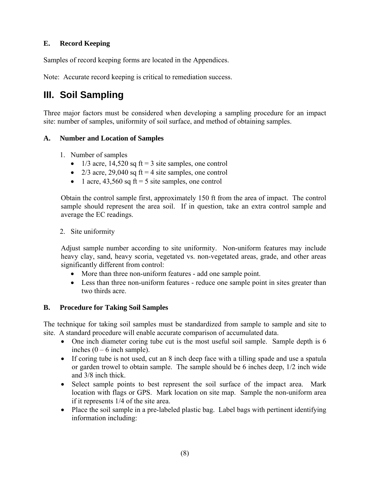### **E. Record Keeping**

Samples of record keeping forms are located in the Appendices.

Note: Accurate record keeping is critical to remediation success.

## **III. Soil Sampling**

Three major factors must be considered when developing a sampling procedure for an impact site: number of samples, uniformity of soil surface, and method of obtaining samples.

### **A. Number and Location of Samples**

- 1. Number of samples
	- 1/3 acre, 14,520 sq  $ft = 3$  site samples, one control
	- 2/3 acre, 29,040 sq  $ft = 4$  site samples, one control
	- 1 acre,  $43,560$  sq ft = 5 site samples, one control

Obtain the control sample first, approximately 150 ft from the area of impact. The control sample should represent the area soil. If in question, take an extra control sample and average the EC readings.

2. Site uniformity

Adjust sample number according to site uniformity. Non-uniform features may include heavy clay, sand, heavy scoria, vegetated vs. non-vegetated areas, grade, and other areas significantly different from control:

- More than three non-uniform features add one sample point.
- Less than three non-uniform features reduce one sample point in sites greater than two thirds acre.

### **B. Procedure for Taking Soil Samples**

The technique for taking soil samples must be standardized from sample to sample and site to site. A standard procedure will enable accurate comparison of accumulated data.

- One inch diameter coring tube cut is the most useful soil sample. Sample depth is 6 inches  $(0 - 6$  inch sample).
- If coring tube is not used, cut an 8 inch deep face with a tilling spade and use a spatula or garden trowel to obtain sample. The sample should be 6 inches deep, 1/2 inch wide and 3/8 inch thick.
- Select sample points to best represent the soil surface of the impact area. Mark location with flags or GPS. Mark location on site map. Sample the non-uniform area if it represents 1/4 of the site area.
- Place the soil sample in a pre-labeled plastic bag. Label bags with pertinent identifying information including: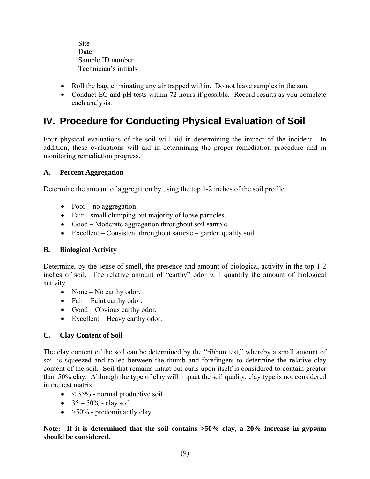**Site**  Date Sample ID number Technician's initials

- Roll the bag, eliminating any air trapped within. Do not leave samples in the sun.
- Conduct EC and pH tests within 72 hours if possible. Record results as you complete each analysis.

## **IV. Procedure for Conducting Physical Evaluation of Soil**

Four physical evaluations of the soil will aid in determining the impact of the incident. In addition, these evaluations will aid in determining the proper remediation procedure and in monitoring remediation progress.

### **A. Percent Aggregation**

Determine the amount of aggregation by using the top 1-2 inches of the soil profile.

- Poor no aggregation.
- Fair small clumping but majority of loose particles.
- Good Moderate aggregation throughout soil sample.
- Excellent Consistent throughout sample garden quality soil.

### **B. Biological Activity**

Determine, by the sense of smell, the presence and amount of biological activity in the top 1-2 inches of soil. The relative amount of "earthy" odor will quantify the amount of biological activity.

- None No earthy odor.
- Fair Faint earthy odor.
- Good Obvious earthy odor.
- Excellent Heavy earthy odor.

### **C. Clay Content of Soil**

The clay content of the soil can be determined by the "ribbon test," whereby a small amount of soil is squeezed and rolled between the thumb and forefingers to determine the relative clay content of the soil. Soil that remains intact but curls upon itself is considered to contain greater than 50% clay. Although the type of clay will impact the soil quality, clay type is not considered in the test matrix.

- $\bullet$  < 35% normal productive soil
- $35 50\%$  clay soil
- $>50\%$  predominantly clay

### **Note: If it is determined that the soil contains >50% clay, a 20% increase in gypsum should be considered.**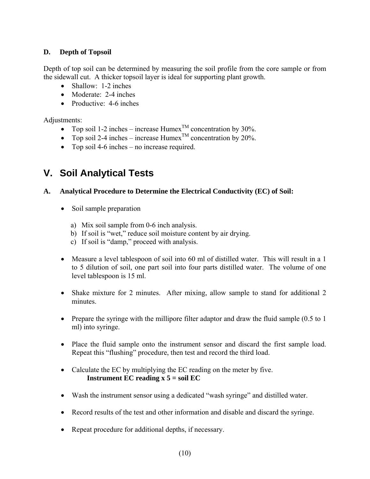### **D. Depth of Topsoil**

Depth of top soil can be determined by measuring the soil profile from the core sample or from the sidewall cut. A thicker topsoil layer is ideal for supporting plant growth.

- Shallow: 1-2 inches
- Moderate: 2-4 inches
- Productive: 4-6 inches

Adjustments:

- Top soil 1-2 inches increase  $\text{Humex}^{\text{TM}}$  concentration by 30%.
- Top soil 2-4 inches increase Humex<sup>TM</sup> concentration by 20%.
- Top soil 4-6 inches no increase required.

## **V. Soil Analytical Tests**

### **A. Analytical Procedure to Determine the Electrical Conductivity (EC) of Soil:**

- Soil sample preparation
	- a) Mix soil sample from 0-6 inch analysis.
	- b) If soil is "wet," reduce soil moisture content by air drying.
	- c) If soil is "damp," proceed with analysis.
- Measure a level tablespoon of soil into 60 ml of distilled water. This will result in a 1 to 5 dilution of soil, one part soil into four parts distilled water. The volume of one level tablespoon is 15 ml.
- Shake mixture for 2 minutes. After mixing, allow sample to stand for additional 2 minutes.
- Prepare the syringe with the millipore filter adaptor and draw the fluid sample (0.5 to 1) ml) into syringe.
- Place the fluid sample onto the instrument sensor and discard the first sample load. Repeat this "flushing" procedure, then test and record the third load.
- Calculate the EC by multiplying the EC reading on the meter by five. **Instrument EC reading x 5 = soil EC**
- Wash the instrument sensor using a dedicated "wash syringe" and distilled water.
- Record results of the test and other information and disable and discard the syringe.
- Repeat procedure for additional depths, if necessary.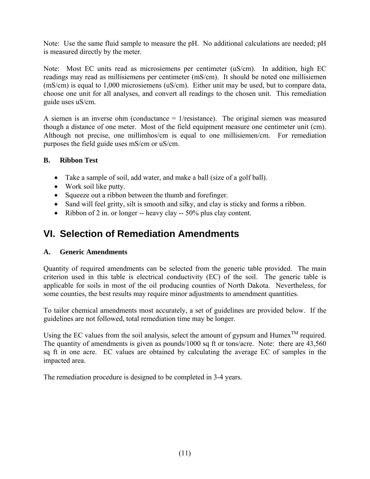Note: Use the same fluid sample to measure the pH. No additional calculations are needed; pH is measured directly by the meter.

Note: Most EC units read as microsiemens per centimeter (uS/cm). In addition, high EC readings may read as millisiemens per centimeter (mS/cm). It should be noted one millisiemen (mS/cm) is equal to 1,000 microsiemens (uS/cm). Either unit may be used, but to compare data, choose one unit for all analyses, and convert all readings to the chosen unit. This remediation guide uses uS/cm.

A siemen is an inverse ohm (conductance  $= 1$ /resistance). The original siemen was measured though a distance of one meter. Most of the field equipment measure one centimeter unit (cm). Although not precise, one millimhos/cm is equal to one millisiemen/cm. For remediation purposes the field guide uses mS/cm or uS/cm.

### **B. Ribbon Test**

- Take a sample of soil, add water, and make a ball (size of a golf ball).
- Work soil like putty.
- Squeeze out a ribbon between the thumb and forefinger.
- Sand will feel gritty, silt is smooth and silky, and clay is sticky and forms a ribbon.
- Ribbon of 2 in. or longer -- heavy clay -- 50% plus clay content.

### **VI. Selection of Remediation Amendments**

### **A. Generic Amendments**

Quantity of required amendments can be selected from the generic table provided. The main criterion used in this table is electrical conductivity (EC) of the soil. The generic table is applicable for soils in most of the oil producing counties of North Dakota. Nevertheless, for some counties, the best results may require minor adjustments to amendment quantities.

To tailor chemical amendments most accurately, a set of guidelines are provided below. If the guidelines are not followed, total remediation time may be longer.

Using the EC values from the soil analysis, select the amount of gypsum and Humex<sup>TM</sup> required. The quantity of amendments is given as pounds/1000 sq ft or tons/acre. Note: there are 43,560 sq ft in one acre. EC values are obtained by calculating the average EC of samples in the impacted area.

The remediation procedure is designed to be completed in 3-4 years.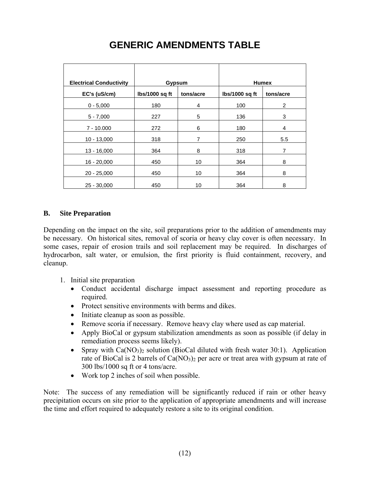| <b>Electrical Conductivity</b> | <b>Gypsum</b>    |           | <b>Humex</b>   |                |
|--------------------------------|------------------|-----------|----------------|----------------|
| EC's (uS/cm)                   | $lbs/1000$ sq ft | tons/acre | lbs/1000 sq ft | tons/acre      |
| $0 - 5,000$                    | 180              | 4         | 100            | $\overline{2}$ |
| $5 - 7,000$                    | 227              | 5         | 136            | 3              |
| $7 - 10,000$                   | 272              | 6         | 180            | 4              |
| $10 - 13,000$                  | 318              | 7         | 250            | 5.5            |
| $13 - 16,000$                  | 364              | 8         | 318            | 7              |
| $16 - 20,000$                  | 450              | 10        | 364            | 8              |
| $20 - 25,000$                  | 450              | 10        | 364            | 8              |
| $25 - 30,000$                  | 450              | 10        | 364            | 8              |

## **GENERIC AMENDMENTS TABLE**

### **B. Site Preparation**

Depending on the impact on the site, soil preparations prior to the addition of amendments may be necessary. On historical sites, removal of scoria or heavy clay cover is often necessary. In some cases, repair of erosion trails and soil replacement may be required. In discharges of hydrocarbon, salt water, or emulsion, the first priority is fluid containment, recovery, and cleanup.

- 1. Initial site preparation
	- Conduct accidental discharge impact assessment and reporting procedure as required.
	- Protect sensitive environments with berms and dikes.
	- Initiate cleanup as soon as possible.
	- Remove scoria if necessary. Remove heavy clay where used as cap material.
	- Apply BioCal or gypsum stabilization amendments as soon as possible (if delay in remediation process seems likely).
	- Spray with  $Ca(NO<sub>3</sub>)<sub>2</sub>$  solution (BioCal diluted with fresh water 30:1). Application rate of BioCal is 2 barrels of  $Ca(NO<sub>3</sub>)<sub>2</sub>$  per acre or treat area with gypsum at rate of 300 lbs/1000 sq ft or 4 tons/acre.
	- Work top 2 inches of soil when possible.

Note: The success of any remediation will be significantly reduced if rain or other heavy precipitation occurs on site prior to the application of appropriate amendments and will increase the time and effort required to adequately restore a site to its original condition.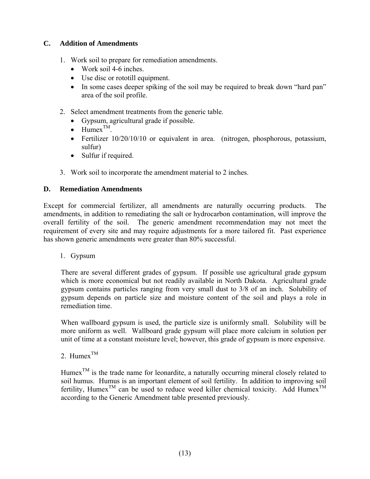### **C. Addition of Amendments**

- 1. Work soil to prepare for remediation amendments.
	- Work soil 4-6 inches.
	- Use disc or rototill equipment.
	- In some cases deeper spiking of the soil may be required to break down "hard pan" area of the soil profile.
- 2. Select amendment treatments from the generic table.
	- Gypsum, agricultural grade if possible.
	- $H$ umex $^{TM}$
	- Fertilizer  $10/20/10/10$  or equivalent in area. (nitrogen, phosphorous, potassium, sulfur)
	- Sulfur if required.
- 3. Work soil to incorporate the amendment material to 2 inches.

### **D. Remediation Amendments**

Except for commercial fertilizer, all amendments are naturally occurring products. The amendments, in addition to remediating the salt or hydrocarbon contamination, will improve the overall fertility of the soil. The generic amendment recommendation may not meet the requirement of every site and may require adjustments for a more tailored fit. Past experience has shown generic amendments were greater than 80% successful.

1. Gypsum

There are several different grades of gypsum. If possible use agricultural grade gypsum which is more economical but not readily available in North Dakota. Agricultural grade gypsum contains particles ranging from very small dust to 3/8 of an inch. Solubility of gypsum depends on particle size and moisture content of the soil and plays a role in remediation time.

When wallboard gypsum is used, the particle size is uniformly small. Solubility will be more uniform as well. Wallboard grade gypsum will place more calcium in solution per unit of time at a constant moisture level; however, this grade of gypsum is more expensive.

2. Humex<sup>TM</sup>

Humex<sup>TM</sup> is the trade name for leonardite, a naturally occurring mineral closely related to soil humus. Humus is an important element of soil fertility. In addition to improving soil fertility, Humex<sup>TM</sup> can be used to reduce weed killer chemical toxicity. Add Humex<sup>TM</sup> according to the Generic Amendment table presented previously.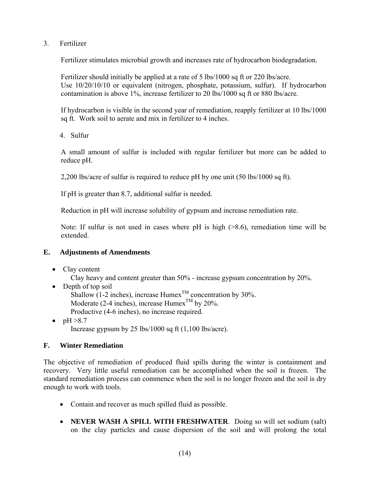3. Fertilizer

Fertilizer stimulates microbial growth and increases rate of hydrocarbon biodegradation.

Fertilizer should initially be applied at a rate of 5 lbs/1000 sq ft or 220 lbs/acre. Use 10/20/10/10 or equivalent (nitrogen, phosphate, potassium, sulfur). If hydrocarbon contamination is above 1%, increase fertilizer to 20 lbs/1000 sq ft or 880 lbs/acre.

If hydrocarbon is visible in the second year of remediation, reapply fertilizer at 10 lbs/1000 sq ft. Work soil to aerate and mix in fertilizer to 4 inches.

4. Sulfur

A small amount of sulfur is included with regular fertilizer but more can be added to reduce pH.

2,200 lbs/acre of sulfur is required to reduce pH by one unit (50 lbs/1000 sq ft).

If pH is greater than 8.7, additional sulfur is needed.

Reduction in pH will increase solubility of gypsum and increase remediation rate.

Note: If sulfur is not used in cases where pH is high ( $>8.6$ ), remediation time will be extended.

### **E. Adjustments of Amendments**

• Clay content

Clay heavy and content greater than 50% - increase gypsum concentration by 20%.

- Depth of top soil Shallow (1-2 inches), increase  $\text{Humex}^{\text{TM}}$  concentration by 30%. Moderate (2-4 inches), increase  $\text{Hume}^{\text{TM}}$  by 20%. Productive (4-6 inches), no increase required.
- $\bullet$  pH  $>8.7$ Increase gypsum by 25 lbs/1000 sq ft  $(1,100 \text{ lbs/acre})$ .

### **F. Winter Remediation**

The objective of remediation of produced fluid spills during the winter is containment and recovery. Very little useful remediation can be accomplished when the soil is frozen. The standard remediation process can commence when the soil is no longer frozen and the soil is dry enough to work with tools.

- Contain and recover as much spilled fluid as possible.
- **NEVER WASH A SPILL WITH FRESHWATER**. Doing so will set sodium (salt) on the clay particles and cause dispersion of the soil and will prolong the total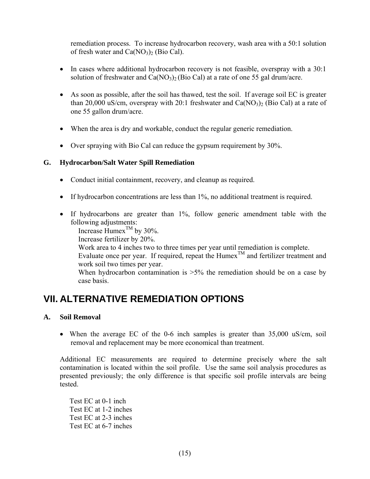remediation process. To increase hydrocarbon recovery, wash area with a 50:1 solution of fresh water and  $Ca(NO<sub>3</sub>)<sub>2</sub>$  (Bio Cal).

- In cases where additional hydrocarbon recovery is not feasible, overspray with a 30:1 solution of freshwater and  $Ca(NO<sub>3</sub>)<sub>2</sub>$  (Bio Cal) at a rate of one 55 gal drum/acre.
- As soon as possible, after the soil has thawed, test the soil. If average soil EC is greater than 20,000 uS/cm, overspray with 20:1 freshwater and  $Ca(NO<sub>3</sub>)<sub>2</sub>$  (Bio Cal) at a rate of one 55 gallon drum/acre.
- When the area is dry and workable, conduct the regular generic remediation.
- Over spraying with Bio Cal can reduce the gypsum requirement by 30%.

### **G. Hydrocarbon/Salt Water Spill Remediation**

- Conduct initial containment, recovery, and cleanup as required.
- If hydrocarbon concentrations are less than 1%, no additional treatment is required.
- If hydrocarbons are greater than 1%, follow generic amendment table with the following adjustments:

Increase Humex<sup>TM</sup> by 30%.

Increase fertilizer by 20%.

 Work area to 4 inches two to three times per year until remediation is complete. Evaluate once per year. If required, repeat the Humex<sup>TM</sup> and fertilizer treatment and work soil two times per year.

When hydrocarbon contamination is  $>5\%$  the remediation should be on a case by case basis.

### **VII. ALTERNATIVE REMEDIATION OPTIONS**

### **A. Soil Removal**

• When the average EC of the 0-6 inch samples is greater than 35,000 uS/cm, soil removal and replacement may be more economical than treatment.

Additional EC measurements are required to determine precisely where the salt contamination is located within the soil profile. Use the same soil analysis procedures as presented previously; the only difference is that specific soil profile intervals are being tested.

Test EC at 0-1 inch Test EC at 1-2 inches Test EC at 2-3 inches Test EC at 6-7 inches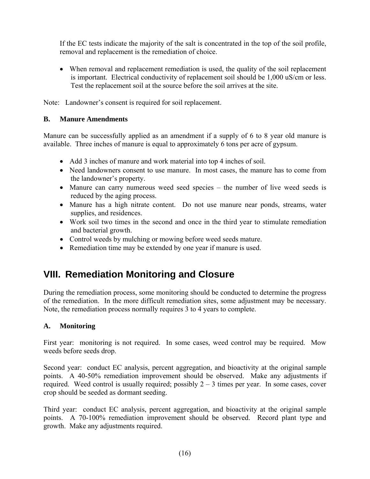If the EC tests indicate the majority of the salt is concentrated in the top of the soil profile, removal and replacement is the remediation of choice.

• When removal and replacement remediation is used, the quality of the soil replacement is important. Electrical conductivity of replacement soil should be 1,000 uS/cm or less. Test the replacement soil at the source before the soil arrives at the site.

Note: Landowner's consent is required for soil replacement.

### **B. Manure Amendments**

Manure can be successfully applied as an amendment if a supply of 6 to 8 year old manure is available. Three inches of manure is equal to approximately 6 tons per acre of gypsum.

- Add 3 inches of manure and work material into top 4 inches of soil.
- Need landowners consent to use manure. In most cases, the manure has to come from the landowner's property.
- Manure can carry numerous weed seed species the number of live weed seeds is reduced by the aging process.
- Manure has a high nitrate content. Do not use manure near ponds, streams, water supplies, and residences.
- Work soil two times in the second and once in the third year to stimulate remediation and bacterial growth.
- Control weeds by mulching or mowing before weed seeds mature.
- Remediation time may be extended by one year if manure is used.

### **VIII. Remediation Monitoring and Closure**

During the remediation process, some monitoring should be conducted to determine the progress of the remediation. In the more difficult remediation sites, some adjustment may be necessary. Note, the remediation process normally requires 3 to 4 years to complete.

### **A. Monitoring**

First year: monitoring is not required. In some cases, weed control may be required. Mow weeds before seeds drop.

Second year: conduct EC analysis, percent aggregation, and bioactivity at the original sample points. A 40-50% remediation improvement should be observed. Make any adjustments if required. Weed control is usually required; possibly  $2 - 3$  times per year. In some cases, cover crop should be seeded as dormant seeding.

Third year: conduct EC analysis, percent aggregation, and bioactivity at the original sample points. A 70-100% remediation improvement should be observed. Record plant type and growth. Make any adjustments required.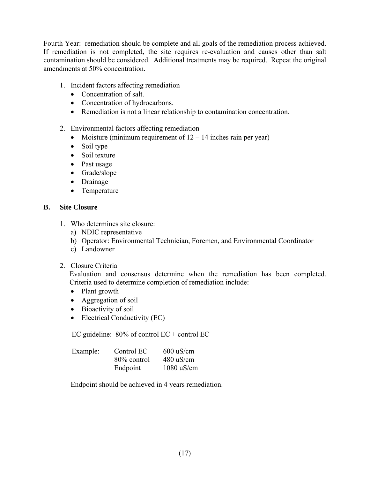Fourth Year: remediation should be complete and all goals of the remediation process achieved. If remediation is not completed, the site requires re-evaluation and causes other than salt contamination should be considered. Additional treatments may be required. Repeat the original amendments at 50% concentration.

- 1. Incident factors affecting remediation
	- Concentration of salt.
	- Concentration of hydrocarbons.
	- Remediation is not a linear relationship to contamination concentration.
- 2. Environmental factors affecting remediation
	- Moisture (minimum requirement of  $12 14$  inches rain per year)
	- Soil type
	- Soil texture
	- Past usage
	- Grade/slope
	- Drainage
	- Temperature

### **B. Site Closure**

- 1. Who determines site closure:
	- a) NDIC representative
	- b) Operator: Environmental Technician, Foremen, and Environmental Coordinator
	- c) Landowner
- 2. Closure Criteria

Evaluation and consensus determine when the remediation has been completed. Criteria used to determine completion of remediation include:

- Plant growth
- Aggregation of soil
- Bioactivity of soil
- Electrical Conductivity (EC)

EC guideline:  $80\%$  of control EC + control EC

| Example: | Control EC  | $600 \text{ uS/cm}$ |  |
|----------|-------------|---------------------|--|
|          | 80% control | $480 \text{ uS/cm}$ |  |
|          | Endpoint    | $1080$ uS/cm        |  |

Endpoint should be achieved in 4 years remediation.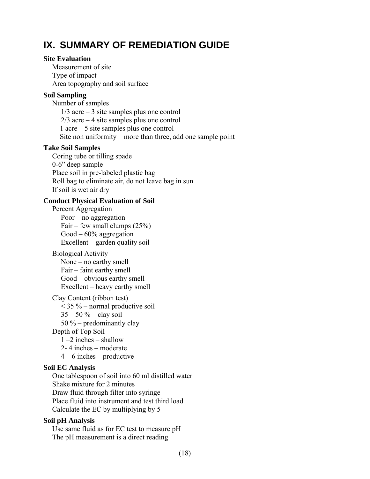### **IX. SUMMARY OF REMEDIATION GUIDE**

#### **Site Evaluation**

 Measurement of site Type of impact Area topography and soil surface

### **Soil Sampling**

 Number of samples  $1/3$  acre – 3 site samples plus one control 2/3 acre – 4 site samples plus one control 1 acre – 5 site samples plus one control Site non uniformity – more than three, add one sample point

### **Take Soil Samples**

 Coring tube or tilling spade 0-6" deep sample Place soil in pre-labeled plastic bag Roll bag to eliminate air, do not leave bag in sun If soil is wet air dry

### **Conduct Physical Evaluation of Soil**

 Percent Aggregation Poor – no aggregation Fair – few small clumps (25%) Good – 60% aggregation Excellent – garden quality soil

### Biological Activity

 None – no earthy smell Fair – faint earthy smell Good – obvious earthy smell Excellent – heavy earthy smell

### Clay Content (ribbon test)

 $<$  35 % – normal productive soil  $35 - 50 \%$  – clay soil 50 % – predominantly clay Depth of Top Soil 1 –2 inches – shallow 2- 4 inches – moderate 4 – 6 inches – productive

### **Soil EC Analysis**

 One tablespoon of soil into 60 ml distilled water Shake mixture for 2 minutes Draw fluid through filter into syringe Place fluid into instrument and test third load Calculate the EC by multiplying by 5

### **Soil pH Analysis**

 Use same fluid as for EC test to measure pH The pH measurement is a direct reading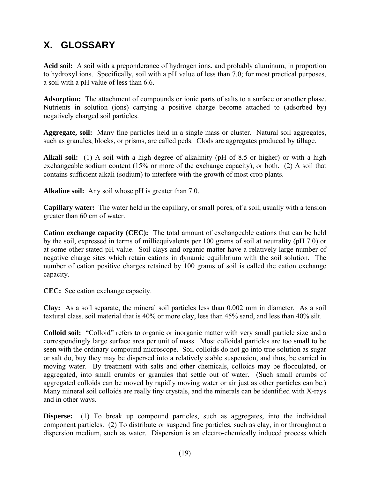## **X. GLOSSARY**

**Acid soil:** A soil with a preponderance of hydrogen ions, and probably aluminum, in proportion to hydroxyl ions. Specifically, soil with a pH value of less than 7.0; for most practical purposes, a soil with a pH value of less than 6.6.

**Adsorption:** The attachment of compounds or ionic parts of salts to a surface or another phase. Nutrients in solution (ions) carrying a positive charge become attached to (adsorbed by) negatively charged soil particles.

**Aggregate, soil:** Many fine particles held in a single mass or cluster. Natural soil aggregates, such as granules, blocks, or prisms, are called peds. Clods are aggregates produced by tillage.

**Alkali soil:** (1) A soil with a high degree of alkalinity (pH of 8.5 or higher) or with a high exchangeable sodium content (15% or more of the exchange capacity), or both. (2) A soil that contains sufficient alkali (sodium) to interfere with the growth of most crop plants.

**Alkaline soil:** Any soil whose pH is greater than 7.0.

**Capillary water:** The water held in the capillary, or small pores, of a soil, usually with a tension greater than 60 cm of water.

**Cation exchange capacity (CEC):** The total amount of exchangeable cations that can be held by the soil, expressed in terms of milliequivalents per 100 grams of soil at neutrality (pH 7.0) or at some other stated pH value. Soil clays and organic matter have a relatively large number of negative charge sites which retain cations in dynamic equilibrium with the soil solution. The number of cation positive charges retained by 100 grams of soil is called the cation exchange capacity.

**CEC:** See cation exchange capacity.

**Clay:** As a soil separate, the mineral soil particles less than 0.002 mm in diameter. As a soil textural class, soil material that is 40% or more clay, less than 45% sand, and less than 40% silt.

**Colloid soil:** "Colloid" refers to organic or inorganic matter with very small particle size and a correspondingly large surface area per unit of mass. Most colloidal particles are too small to be seen with the ordinary compound microscope. Soil colloids do not go into true solution as sugar or salt do, buy they may be dispersed into a relatively stable suspension, and thus, be carried in moving water. By treatment with salts and other chemicals, colloids may be flocculated, or aggregated, into small crumbs or granules that settle out of water. (Such small crumbs of aggregated colloids can be moved by rapidly moving water or air just as other particles can be.) Many mineral soil colloids are really tiny crystals, and the minerals can be identified with X-rays and in other ways.

**Disperse:** (1) To break up compound particles, such as aggregates, into the individual component particles. (2) To distribute or suspend fine particles, such as clay, in or throughout a dispersion medium, such as water. Dispersion is an electro-chemically induced process which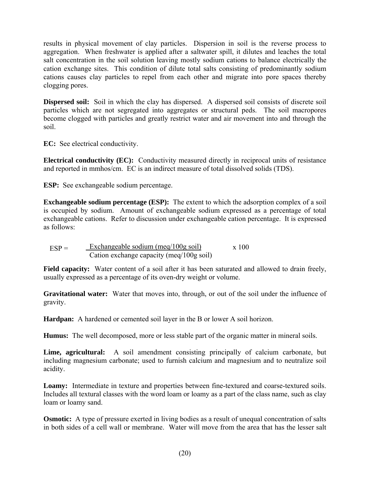results in physical movement of clay particles. Dispersion in soil is the reverse process to aggregation. When freshwater is applied after a saltwater spill, it dilutes and leaches the total salt concentration in the soil solution leaving mostly sodium cations to balance electrically the cation exchange sites. This condition of dilute total salts consisting of predominantly sodium cations causes clay particles to repel from each other and migrate into pore spaces thereby clogging pores.

**Dispersed soil:** Soil in which the clay has dispersed. A dispersed soil consists of discrete soil particles which are not segregated into aggregates or structural peds. The soil macropores become clogged with particles and greatly restrict water and air movement into and through the soil.

**EC:** See electrical conductivity.

**Electrical conductivity (EC):** Conductivity measured directly in reciprocal units of resistance and reported in mmhos/cm. EC is an indirect measure of total dissolved solids (TDS).

**ESP:** See exchangeable sodium percentage.

**Exchangeable sodium percentage (ESP):** The extent to which the adsorption complex of a soil is occupied by sodium. Amount of exchangeable sodium expressed as a percentage of total exchangeable cations. Refer to discussion under exchangeable cation percentage. It is expressed as follows:

$$
ESP = \frac{Exchangeable \text{ sodium (meq/100g soil)}}{\text{Cation exchange capacity (meq/100g soil)}} \qquad x \text{ 100}
$$

Field capacity: Water content of a soil after it has been saturated and allowed to drain freely, usually expressed as a percentage of its oven-dry weight or volume.

**Gravitational water:** Water that moves into, through, or out of the soil under the influence of gravity.

**Hardpan:** A hardened or cemented soil layer in the B or lower A soil horizon.

**Humus:** The well decomposed, more or less stable part of the organic matter in mineral soils.

**Lime, agricultural:** A soil amendment consisting principally of calcium carbonate, but including magnesium carbonate; used to furnish calcium and magnesium and to neutralize soil acidity.

**Loamy:** Intermediate in texture and properties between fine-textured and coarse-textured soils. Includes all textural classes with the word loam or loamy as a part of the class name, such as clay loam or loamy sand.

**Osmotic:** A type of pressure exerted in living bodies as a result of unequal concentration of salts in both sides of a cell wall or membrane. Water will move from the area that has the lesser salt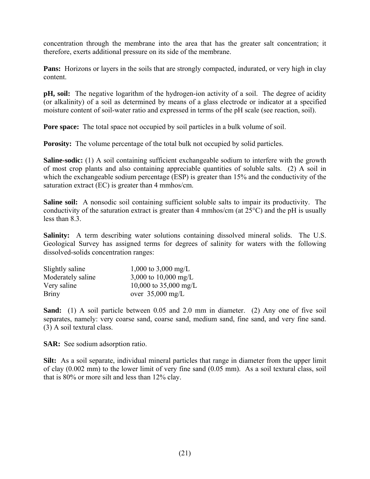concentration through the membrane into the area that has the greater salt concentration; it therefore, exerts additional pressure on its side of the membrane.

**Pans:** Horizons or layers in the soils that are strongly compacted, indurated, or very high in clay content.

**pH, soil:** The negative logarithm of the hydrogen-ion activity of a soil. The degree of acidity (or alkalinity) of a soil as determined by means of a glass electrode or indicator at a specified moisture content of soil-water ratio and expressed in terms of the pH scale (see reaction, soil).

**Pore space:** The total space not occupied by soil particles in a bulk volume of soil.

**Porosity:** The volume percentage of the total bulk not occupied by solid particles.

**Saline-sodic:** (1) A soil containing sufficient exchangeable sodium to interfere with the growth of most crop plants and also containing appreciable quantities of soluble salts. (2) A soil in which the exchangeable sodium percentage (ESP) is greater than 15% and the conductivity of the saturation extract (EC) is greater than 4 mmhos/cm.

**Saline soil:** A nonsodic soil containing sufficient soluble salts to impair its productivity. The conductivity of the saturation extract is greater than 4 mmhos/cm (at  $25^{\circ}$ C) and the pH is usually less than 8.3.

**Salinity:** A term describing water solutions containing dissolved mineral solids. The U.S. Geological Survey has assigned terms for degrees of salinity for waters with the following dissolved-solids concentration ranges:

| Slightly saline   | 1,000 to 3,000 mg/L        |
|-------------------|----------------------------|
| Moderately saline | 3,000 to 10,000 mg/L       |
| Very saline       | 10,000 to 35,000 mg/L      |
| <b>Briny</b>      | over $35,000 \text{ mg/L}$ |

**Sand:** (1) A soil particle between 0.05 and 2.0 mm in diameter. (2) Any one of five soil separates, namely: very coarse sand, coarse sand, medium sand, fine sand, and very fine sand. (3) A soil textural class.

**SAR:** See sodium adsorption ratio.

**Silt:** As a soil separate, individual mineral particles that range in diameter from the upper limit of clay (0.002 mm) to the lower limit of very fine sand (0.05 mm). As a soil textural class, soil that is 80% or more silt and less than 12% clay.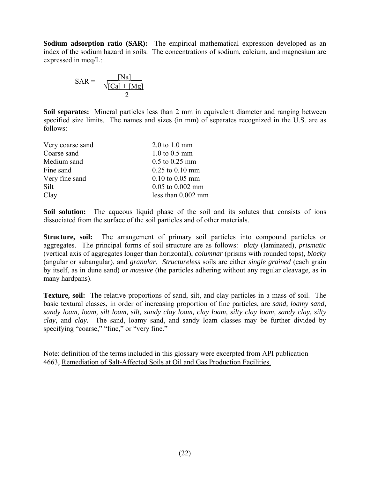**Sodium adsorption ratio (SAR):** The empirical mathematical expression developed as an index of the sodium hazard in soils. The concentrations of sodium, calcium, and magnesium are expressed in meq/L:

$$
SAR = \frac{[Na]}{\sqrt{[Ca] + [Mg]}}
$$

**Soil separates:** Mineral particles less than 2 mm in equivalent diameter and ranging between specified size limits. The names and sizes (in mm) of separates recognized in the U.S. are as follows:

| Very coarse sand | $2.0 \text{ to } 1.0 \text{ mm}$ |
|------------------|----------------------------------|
| Coarse sand      | $1.0 \text{ to } 0.5 \text{ mm}$ |
| Medium sand      | $0.5$ to $0.25$ mm               |
| Fine sand        | $0.25$ to $0.10$ mm              |
| Very fine sand   | $0.10$ to $0.05$ mm              |
| Silt             | $0.05$ to $0.002$ mm             |
| Clay             | less than 0.002 mm               |

**Soil solution:** The aqueous liquid phase of the soil and its solutes that consists of ions dissociated from the surface of the soil particles and of other materials.

**Structure, soil:** The arrangement of primary soil particles into compound particles or aggregates. The principal forms of soil structure are as follows: *platy* (laminated), *prismatic* (vertical axis of aggregates longer than horizontal), *columnar* (prisms with rounded tops), *blocky* (angular or subangular), and *granular. Structureless* soils are either *single grained* (each grain by itself, as in dune sand) or *massive* (the particles adhering without any regular cleavage, as in many hardpans).

**Texture, soil:** The relative proportions of sand, silt, and clay particles in a mass of soil. The basic textural classes, in order of increasing proportion of fine particles, are *sand, loamy sand, sandy loam, loam, silt loam, silt, sandy clay loam, clay loam, silty clay loam, sandy clay, silty clay,* and *clay.* The sand, loamy sand, and sandy loam classes may be further divided by specifying "coarse," "fine," or "very fine."

Note: definition of the terms included in this glossary were excerpted from API publication 4663, Remediation of Salt-Affected Soils at Oil and Gas Production Facilities.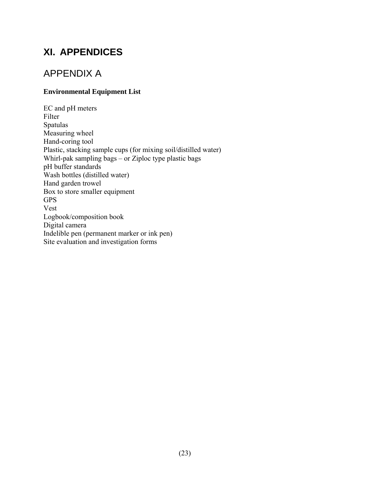## **XI. APPENDICES**

### APPENDIX A

### **Environmental Equipment List**

EC and pH meters Filter Spatulas Measuring wheel Hand-coring tool Plastic, stacking sample cups (for mixing soil/distilled water) Whirl-pak sampling bags – or Ziploc type plastic bags pH buffer standards Wash bottles (distilled water) Hand garden trowel Box to store smaller equipment GPS Vest Logbook/composition book Digital camera Indelible pen (permanent marker or ink pen) Site evaluation and investigation forms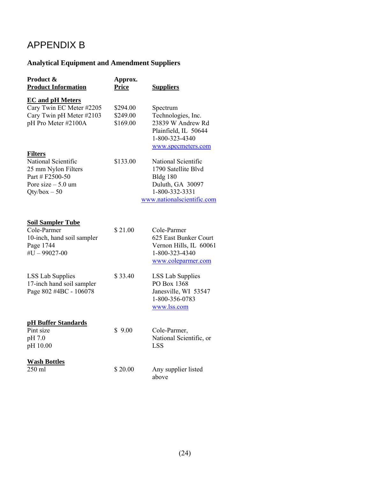## APPENDIX B

### **Analytical Equipment and Amendment Suppliers**

| Product &<br><b>Product Information</b>                                                                                  | Approx.<br><b>Price</b>          | <b>Suppliers</b>                                                                                                                  |
|--------------------------------------------------------------------------------------------------------------------------|----------------------------------|-----------------------------------------------------------------------------------------------------------------------------------|
| <b>EC</b> and pH Meters<br>Cary Twin EC Meter #2205<br>Cary Twin pH Meter #2103<br>pH Pro Meter #2100A                   | \$294.00<br>\$249.00<br>\$169.00 | Spectrum<br>Technologies, Inc.<br>23839 W Andrew Rd<br>Plainfield, IL 50644<br>1-800-323-4340<br>www.specmeters.com               |
| <b>Filters</b><br>National Scientific<br>25 mm Nylon Filters<br>Part # F2500-50<br>Pore size $-5.0$ um<br>$Qty/box - 50$ | \$133.00                         | National Scientific<br>1790 Satellite Blvd<br><b>Bldg 180</b><br>Duluth, GA 30097<br>1-800-332-3331<br>www.nationalscientific.com |
| <b>Soil Sampler Tube</b><br>Cole-Parmer<br>10-inch, hand soil sampler<br>Page 1744<br>$#U - 99027 - 00$                  | \$21.00                          | Cole-Parmer<br>625 East Bunker Court<br>Vernon Hills, IL 60061<br>1-800-323-4340<br>www.coleparmer.com                            |
| <b>LSS Lab Supplies</b><br>17-inch hand soil sampler<br>Page 802 #4BC - 106078                                           | \$33.40                          | <b>LSS Lab Supplies</b><br>PO Box 1368<br>Janesville, WI 53547<br>1-800-356-0783<br>www.lss.com                                   |
| <b>pH Buffer Standards</b><br>Pint size<br>pH 7.0<br>pH 10.00                                                            | \$9.00                           | Cole-Parmer,<br>National Scientific, or<br><b>LSS</b>                                                                             |
| <b>Wash Bottles</b><br>250 ml                                                                                            | \$20.00                          | Any supplier listed<br>above                                                                                                      |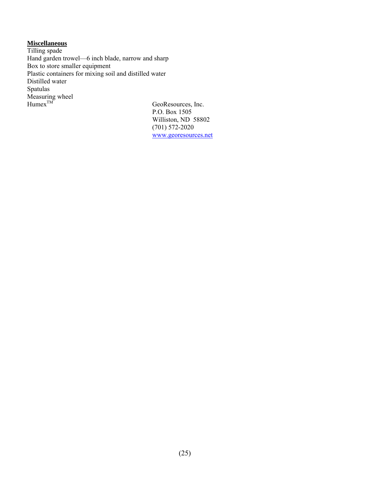### **Miscellaneous**

Tilling spade Hand garden trowel—6 inch blade, narrow and sharp Box to store smaller equipment Plastic containers for mixing soil and distilled water Distilled water Spatulas  $\overline{\text{Measuring wheel}}$ <br>Humex<sup>TM</sup>

GeoResources, Inc. P.O. Box 1505 Williston, ND 58802 (701) 572-2020 www.georesources.net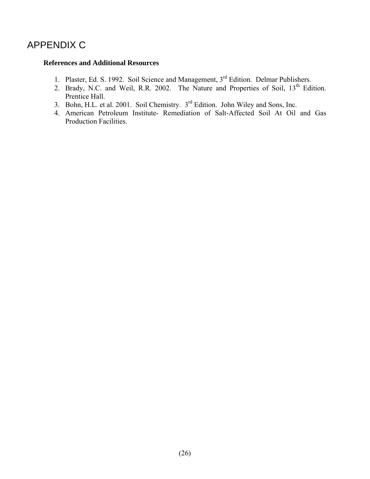## APPENDIX C

#### **References and Additional Resources**

- 1. Plaster, Ed. S. 1992. Soil Science and Management, 3<sup>rd</sup> Edition. Delmar Publishers.
- 2. Brady, N.C. and Weil, R.R. 2002. The Nature and Properties of Soil, 13<sup>th</sup> Edition. Prentice Hall.
- 3. Bohn, H.L. et al. 2001. Soil Chemistry. 3<sup>rd</sup> Edition. John Wiley and Sons, Inc.
- 4. American Petroleum Institute- Remediation of Salt-Affected Soil At Oil and Gas Production Facilities.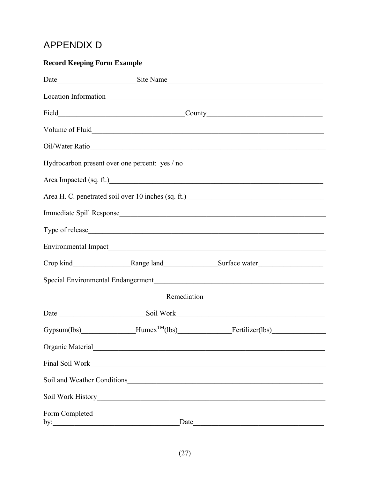## **APPENDIX D**

### **Record Keeping Form Example**

| Hydrocarbon present over one percent: yes / no |                                                                                                                      |                                                                                                                                                                                                                                                                                                                                                 |  |
|------------------------------------------------|----------------------------------------------------------------------------------------------------------------------|-------------------------------------------------------------------------------------------------------------------------------------------------------------------------------------------------------------------------------------------------------------------------------------------------------------------------------------------------|--|
|                                                |                                                                                                                      | Area Impacted (sq. ft.)                                                                                                                                                                                                                                                                                                                         |  |
|                                                |                                                                                                                      | Area H. C. penetrated soil over 10 inches (sq. ft.)<br><u>Letter and the substantial of the substantial of the substantial of the substantial of the substantial of the substantial of the substantial of the substantial of the s</u>                                                                                                          |  |
|                                                |                                                                                                                      |                                                                                                                                                                                                                                                                                                                                                 |  |
|                                                |                                                                                                                      |                                                                                                                                                                                                                                                                                                                                                 |  |
|                                                |                                                                                                                      |                                                                                                                                                                                                                                                                                                                                                 |  |
|                                                |                                                                                                                      |                                                                                                                                                                                                                                                                                                                                                 |  |
|                                                |                                                                                                                      | Special Environmental Endangerment                                                                                                                                                                                                                                                                                                              |  |
|                                                | Remediation                                                                                                          |                                                                                                                                                                                                                                                                                                                                                 |  |
|                                                |                                                                                                                      |                                                                                                                                                                                                                                                                                                                                                 |  |
|                                                |                                                                                                                      | $Gypsum(lbs)$ $\qquad \qquad$ $\qquad$ $\qquad$ $\qquad$ $\qquad$ $\qquad$ $\qquad$ $\qquad$ $\qquad$ $\qquad$ $\qquad$ $\qquad$ $\qquad$ $\qquad$ $\qquad$ $\qquad$ $\qquad$ $\qquad$ $\qquad$ $\qquad$ $\qquad$ $\qquad$ $\qquad$ $\qquad$ $\qquad$ $\qquad$ $\qquad$ $\qquad$ $\qquad$ $\qquad$ $\qquad$ $\qquad$ $\qquad$ $\qquad$ $\qquad$ |  |
| Organic Material                               | <u> 1989 - Johann John Stone, mars eta bainar eta bainar eta baina eta baina eta baina eta baina eta baina eta b</u> |                                                                                                                                                                                                                                                                                                                                                 |  |
| Final Soil Work                                | <u> 1989 - Jan Barbara, martxa al II-lea (h. 1989).</u>                                                              |                                                                                                                                                                                                                                                                                                                                                 |  |
|                                                |                                                                                                                      |                                                                                                                                                                                                                                                                                                                                                 |  |
|                                                |                                                                                                                      |                                                                                                                                                                                                                                                                                                                                                 |  |
| Form Completed<br>by:                          | Date                                                                                                                 |                                                                                                                                                                                                                                                                                                                                                 |  |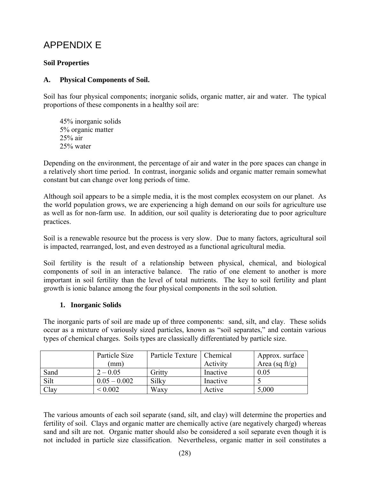## APPENDIX E

### **Soil Properties**

### **A. Physical Components of Soil.**

Soil has four physical components; inorganic solids, organic matter, air and water. The typical proportions of these components in a healthy soil are:

 45% inorganic solids 5% organic matter 25% air 25% water

Depending on the environment, the percentage of air and water in the pore spaces can change in a relatively short time period. In contrast, inorganic solids and organic matter remain somewhat constant but can change over long periods of time.

Although soil appears to be a simple media, it is the most complex ecosystem on our planet. As the world population grows, we are experiencing a high demand on our soils for agriculture use as well as for non-farm use. In addition, our soil quality is deteriorating due to poor agriculture practices.

Soil is a renewable resource but the process is very slow. Due to many factors, agricultural soil is impacted, rearranged, lost, and even destroyed as a functional agricultural media.

Soil fertility is the result of a relationship between physical, chemical, and biological components of soil in an interactive balance. The ratio of one element to another is more important in soil fertility than the level of total nutrients. The key to soil fertility and plant growth is ionic balance among the four physical components in the soil solution.

#### **1. Inorganic Solids**

The inorganic parts of soil are made up of three components: sand, silt, and clay. These solids occur as a mixture of variously sized particles, known as "soil separates," and contain various types of chemical charges. Soils types are classically differentiated by particle size.

|      | Particle Size  | Particle Texture   Chemical |          | Approx. surface   |
|------|----------------|-----------------------------|----------|-------------------|
|      | (mm)           |                             | Activity | Area (sq $ft/g$ ) |
| Sand | $2 - 0.05$     | Gritty                      | Inactive | 0.05              |
| Silt | $0.05 - 0.002$ | Silky                       | Inactive |                   |
| Clay | ${}^{<}0.002$  | Waxy                        | Active   | 5,000             |

The various amounts of each soil separate (sand, silt, and clay) will determine the properties and fertility of soil. Clays and organic matter are chemically active (are negatively charged) whereas sand and silt are not. Organic matter should also be considered a soil separate even though it is not included in particle size classification. Nevertheless, organic matter in soil constitutes a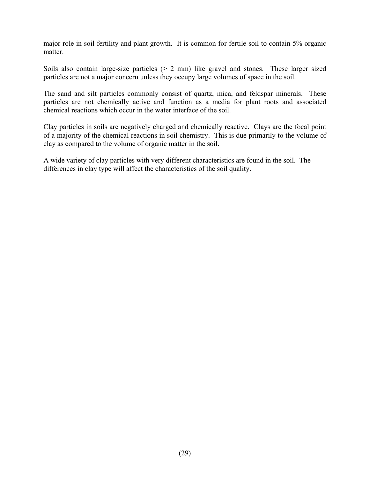major role in soil fertility and plant growth. It is common for fertile soil to contain 5% organic matter.

Soils also contain large-size particles (> 2 mm) like gravel and stones. These larger sized particles are not a major concern unless they occupy large volumes of space in the soil.

The sand and silt particles commonly consist of quartz, mica, and feldspar minerals. These particles are not chemically active and function as a media for plant roots and associated chemical reactions which occur in the water interface of the soil.

Clay particles in soils are negatively charged and chemically reactive. Clays are the focal point of a majority of the chemical reactions in soil chemistry. This is due primarily to the volume of clay as compared to the volume of organic matter in the soil.

A wide variety of clay particles with very different characteristics are found in the soil. The differences in clay type will affect the characteristics of the soil quality.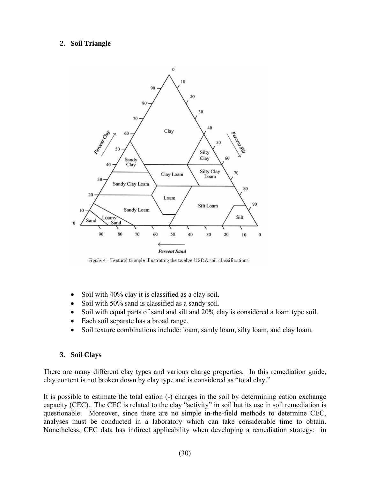### **2. Soil Triangle**



Figure 4 - Textural triangle illustrating the twelve USDA soil classifications.

- Soil with 40% clay it is classified as a clay soil.
- Soil with 50% sand is classified as a sandy soil.
- Soil with equal parts of sand and silt and 20% clay is considered a loam type soil.
- Each soil separate has a broad range.
- Soil texture combinations include: loam, sandy loam, silty loam, and clay loam.

#### **3. Soil Clays**

There are many different clay types and various charge properties. In this remediation guide, clay content is not broken down by clay type and is considered as "total clay."

It is possible to estimate the total cation (-) charges in the soil by determining cation exchange capacity (CEC). The CEC is related to the clay "activity" in soil but its use in soil remediation is questionable. Moreover, since there are no simple in-the-field methods to determine CEC, analyses must be conducted in a laboratory which can take considerable time to obtain. Nonetheless, CEC data has indirect applicability when developing a remediation strategy: in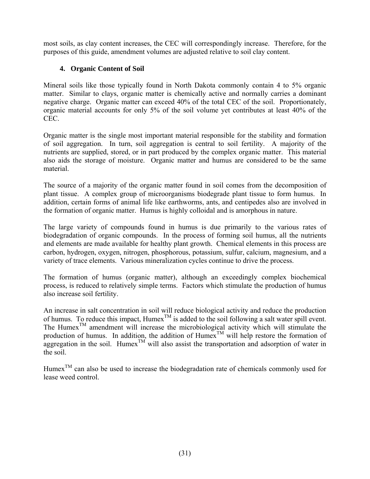most soils, as clay content increases, the CEC will correspondingly increase. Therefore, for the purposes of this guide, amendment volumes are adjusted relative to soil clay content.

### **4. Organic Content of Soil**

Mineral soils like those typically found in North Dakota commonly contain 4 to 5% organic matter. Similar to clays, organic matter is chemically active and normally carries a dominant negative charge. Organic matter can exceed 40% of the total CEC of the soil. Proportionately, organic material accounts for only 5% of the soil volume yet contributes at least 40% of the CEC.

Organic matter is the single most important material responsible for the stability and formation of soil aggregation. In turn, soil aggregation is central to soil fertility. A majority of the nutrients are supplied, stored, or in part produced by the complex organic matter. This material also aids the storage of moisture. Organic matter and humus are considered to be the same material.

The source of a majority of the organic matter found in soil comes from the decomposition of plant tissue. A complex group of microorganisms biodegrade plant tissue to form humus. In addition, certain forms of animal life like earthworms, ants, and centipedes also are involved in the formation of organic matter. Humus is highly colloidal and is amorphous in nature.

The large variety of compounds found in humus is due primarily to the various rates of biodegradation of organic compounds. In the process of forming soil humus, all the nutrients and elements are made available for healthy plant growth. Chemical elements in this process are carbon, hydrogen, oxygen, nitrogen, phosphorous, potassium, sulfur, calcium, magnesium, and a variety of trace elements. Various mineralization cycles continue to drive the process.

The formation of humus (organic matter), although an exceedingly complex biochemical process, is reduced to relatively simple terms. Factors which stimulate the production of humus also increase soil fertility.

An increase in salt concentration in soil will reduce biological activity and reduce the production of humus. To reduce this impact,  $H$ umex $^{TM}$  is added to the soil following a salt water spill event. The Humex<sup>TM</sup> amendment will increase the microbiological activity which will stimulate the production of humus. In addition, the addition of Humex<sup>TM</sup> will help restore the formation of aggregation in the soil. Humex<sup>TM</sup> will also assist the transportation and adsorption of water in the soil.

Humex<sup>TM</sup> can also be used to increase the biodegradation rate of chemicals commonly used for lease weed control.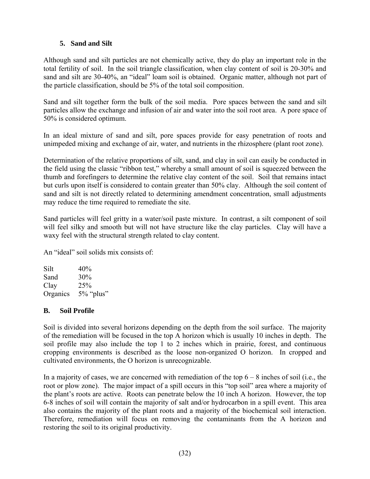### **5. Sand and Silt**

Although sand and silt particles are not chemically active, they do play an important role in the total fertility of soil. In the soil triangle classification, when clay content of soil is 20-30% and sand and silt are 30-40%, an "ideal" loam soil is obtained. Organic matter, although not part of the particle classification, should be 5% of the total soil composition.

Sand and silt together form the bulk of the soil media. Pore spaces between the sand and silt particles allow the exchange and infusion of air and water into the soil root area. A pore space of 50% is considered optimum.

In an ideal mixture of sand and silt, pore spaces provide for easy penetration of roots and unimpeded mixing and exchange of air, water, and nutrients in the rhizosphere (plant root zone).

Determination of the relative proportions of silt, sand, and clay in soil can easily be conducted in the field using the classic "ribbon test," whereby a small amount of soil is squeezed between the thumb and forefingers to determine the relative clay content of the soil. Soil that remains intact but curls upon itself is considered to contain greater than 50% clay. Although the soil content of sand and silt is not directly related to determining amendment concentration, small adjustments may reduce the time required to remediate the site.

Sand particles will feel gritty in a water/soil paste mixture. In contrast, a silt component of soil will feel silky and smooth but will not have structure like the clay particles. Clay will have a waxy feel with the structural strength related to clay content.

An "ideal" soil solids mix consists of:

 $Silt$  40% Sand 30% Clay 25% Organics 5% "plus"

### **B. Soil Profile**

Soil is divided into several horizons depending on the depth from the soil surface. The majority of the remediation will be focused in the top A horizon which is usually 10 inches in depth. The soil profile may also include the top 1 to 2 inches which in prairie, forest, and continuous cropping environments is described as the loose non-organized O horizon. In cropped and cultivated environments, the O horizon is unrecognizable.

In a majority of cases, we are concerned with remediation of the top  $6 - 8$  inches of soil (i.e., the root or plow zone). The major impact of a spill occurs in this "top soil" area where a majority of the plant's roots are active. Roots can penetrate below the 10 inch A horizon. However, the top 6-8 inches of soil will contain the majority of salt and/or hydrocarbon in a spill event. This area also contains the majority of the plant roots and a majority of the biochemical soil interaction. Therefore, remediation will focus on removing the contaminants from the A horizon and restoring the soil to its original productivity.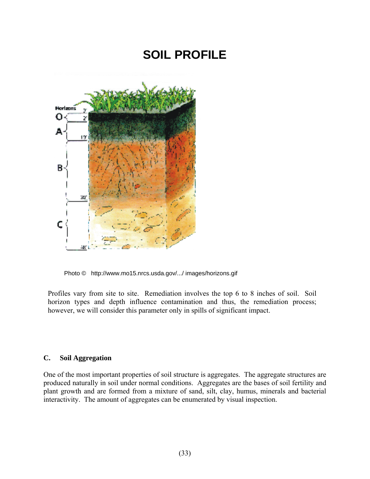# **SOIL PROFILE**



Photo © http://www.mo15.nrcs.usda.gov/.../ images/horizons.gif

Profiles vary from site to site. Remediation involves the top 6 to 8 inches of soil. Soil horizon types and depth influence contamination and thus, the remediation process; however, we will consider this parameter only in spills of significant impact.

#### **C. Soil Aggregation**

One of the most important properties of soil structure is aggregates. The aggregate structures are produced naturally in soil under normal conditions. Aggregates are the bases of soil fertility and plant growth and are formed from a mixture of sand, silt, clay, humus, minerals and bacterial interactivity. The amount of aggregates can be enumerated by visual inspection.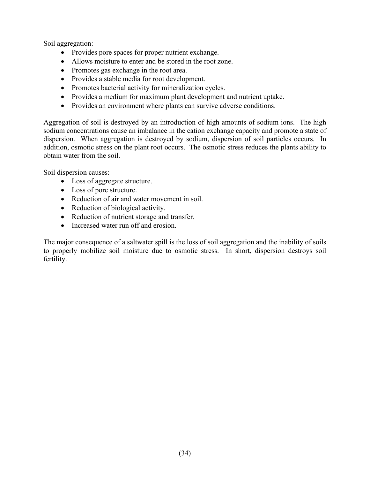Soil aggregation:

- Provides pore spaces for proper nutrient exchange.
- Allows moisture to enter and be stored in the root zone.
- Promotes gas exchange in the root area.
- Provides a stable media for root development.
- Promotes bacterial activity for mineralization cycles.
- Provides a medium for maximum plant development and nutrient uptake.
- Provides an environment where plants can survive adverse conditions.

Aggregation of soil is destroyed by an introduction of high amounts of sodium ions. The high sodium concentrations cause an imbalance in the cation exchange capacity and promote a state of dispersion. When aggregation is destroyed by sodium, dispersion of soil particles occurs. In addition, osmotic stress on the plant root occurs. The osmotic stress reduces the plants ability to obtain water from the soil.

Soil dispersion causes:

- Loss of aggregate structure.
- Loss of pore structure.
- Reduction of air and water movement in soil.
- Reduction of biological activity.
- Reduction of nutrient storage and transfer.
- Increased water run off and erosion.

The major consequence of a saltwater spill is the loss of soil aggregation and the inability of soils to properly mobilize soil moisture due to osmotic stress. In short, dispersion destroys soil fertility.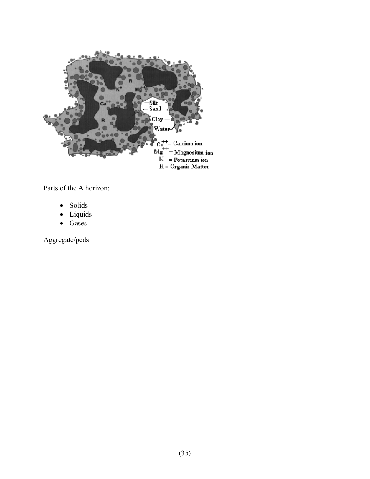

Parts of the A horizon:

- Solids
- Liquids
- Gases

Aggregate/peds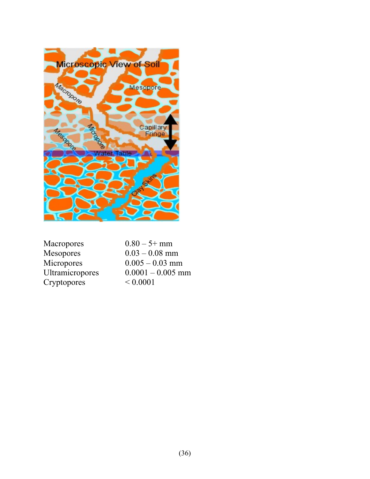

Macropores  $0.80 - 5+ \text{mm}$ <br>Mesopores  $0.03 - 0.08 \text{mm}$ Cryptopores < 0.0001

 $0.03 - 0.08$  mm Micropores  $0.005 - 0.03$  mm<br>Ultramicropores  $0.0001 - 0.005$  m  $0.0001 - 0.005$  mm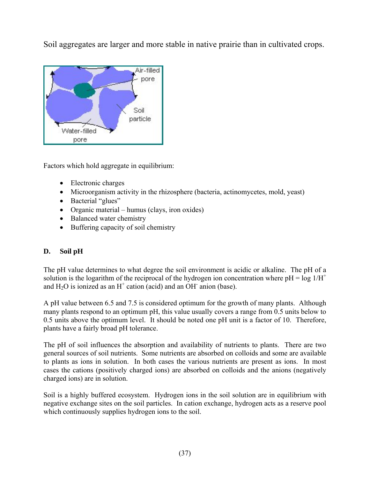Soil aggregates are larger and more stable in native prairie than in cultivated crops.



Factors which hold aggregate in equilibrium:

- Electronic charges
- Microorganism activity in the rhizosphere (bacteria, actinomycetes, mold, yeast)
- Bacterial "glues"
- Organic material humus (clays, iron oxides)
- Balanced water chemistry
- Buffering capacity of soil chemistry

### **D. Soil pH**

The pH value determines to what degree the soil environment is acidic or alkaline. The pH of a solution is the logarithm of the reciprocal of the hydrogen ion concentration where  $pH = log 1/H^+$ and  $H_2O$  is ionized as an  $H^+$  cation (acid) and an OH<sup>-</sup> anion (base).

A pH value between 6.5 and 7.5 is considered optimum for the growth of many plants. Although many plants respond to an optimum pH, this value usually covers a range from 0.5 units below to 0.5 units above the optimum level. It should be noted one pH unit is a factor of 10. Therefore, plants have a fairly broad pH tolerance.

The pH of soil influences the absorption and availability of nutrients to plants. There are two general sources of soil nutrients. Some nutrients are absorbed on colloids and some are available to plants as ions in solution. In both cases the various nutrients are present as ions. In most cases the cations (positively charged ions) are absorbed on colloids and the anions (negatively charged ions) are in solution.

Soil is a highly buffered ecosystem. Hydrogen ions in the soil solution are in equilibrium with negative exchange sites on the soil particles. In cation exchange, hydrogen acts as a reserve pool which continuously supplies hydrogen ions to the soil.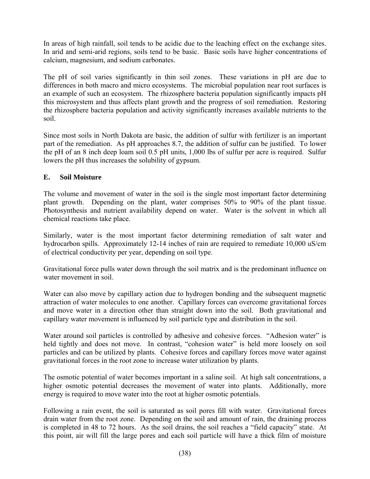In areas of high rainfall, soil tends to be acidic due to the leaching effect on the exchange sites. In arid and semi-arid regions, soils tend to be basic. Basic soils have higher concentrations of calcium, magnesium, and sodium carbonates.

The pH of soil varies significantly in thin soil zones. These variations in pH are due to differences in both macro and micro ecosystems. The microbial population near root surfaces is an example of such an ecosystem. The rhizosphere bacteria population significantly impacts pH this microsystem and thus affects plant growth and the progress of soil remediation. Restoring the rhizosphere bacteria population and activity significantly increases available nutrients to the soil.

Since most soils in North Dakota are basic, the addition of sulfur with fertilizer is an important part of the remediation. As pH approaches 8.7, the addition of sulfur can be justified. To lower the pH of an 8 inch deep loam soil 0.5 pH units, 1,000 lbs of sulfur per acre is required. Sulfur lowers the pH thus increases the solubility of gypsum.

### **E. Soil Moisture**

The volume and movement of water in the soil is the single most important factor determining plant growth. Depending on the plant, water comprises 50% to 90% of the plant tissue. Photosynthesis and nutrient availability depend on water. Water is the solvent in which all chemical reactions take place.

Similarly, water is the most important factor determining remediation of salt water and hydrocarbon spills. Approximately 12-14 inches of rain are required to remediate 10,000 uS/cm of electrical conductivity per year, depending on soil type.

Gravitational force pulls water down through the soil matrix and is the predominant influence on water movement in soil.

Water can also move by capillary action due to hydrogen bonding and the subsequent magnetic attraction of water molecules to one another. Capillary forces can overcome gravitational forces and move water in a direction other than straight down into the soil. Both gravitational and capillary water movement is influenced by soil particle type and distribution in the soil.

Water around soil particles is controlled by adhesive and cohesive forces. "Adhesion water" is held tightly and does not move. In contrast, "cohesion water" is held more loosely on soil particles and can be utilized by plants. Cohesive forces and capillary forces move water against gravitational forces in the root zone to increase water utilization by plants.

The osmotic potential of water becomes important in a saline soil. At high salt concentrations, a higher osmotic potential decreases the movement of water into plants. Additionally, more energy is required to move water into the root at higher osmotic potentials.

Following a rain event, the soil is saturated as soil pores fill with water. Gravitational forces drain water from the root zone. Depending on the soil and amount of rain, the draining process is completed in 48 to 72 hours. As the soil drains, the soil reaches a "field capacity" state. At this point, air will fill the large pores and each soil particle will have a thick film of moisture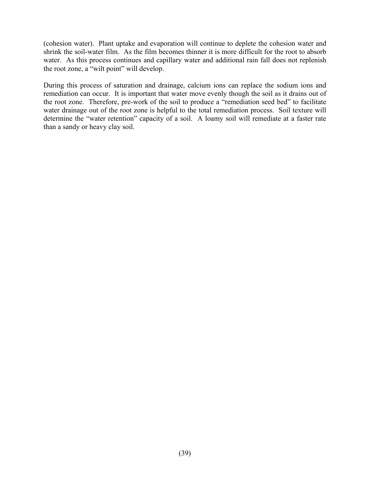(cohesion water). Plant uptake and evaporation will continue to deplete the cohesion water and shrink the soil-water film. As the film becomes thinner it is more difficult for the root to absorb water. As this process continues and capillary water and additional rain fall does not replenish the root zone, a "wilt point" will develop.

During this process of saturation and drainage, calcium ions can replace the sodium ions and remediation can occur. It is important that water move evenly though the soil as it drains out of the root zone. Therefore, pre-work of the soil to produce a "remediation seed bed" to facilitate water drainage out of the root zone is helpful to the total remediation process. Soil texture will determine the "water retention" capacity of a soil. A loamy soil will remediate at a faster rate than a sandy or heavy clay soil.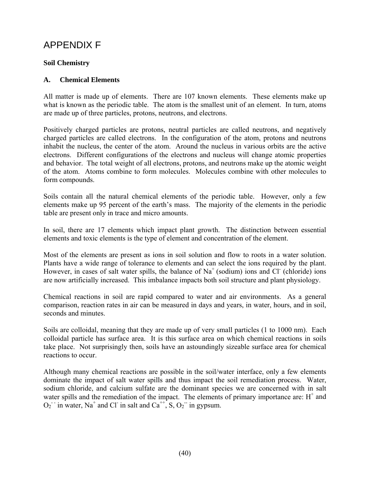### APPENDIX F

### **Soil Chemistry**

### **A. Chemical Elements**

All matter is made up of elements. There are 107 known elements. These elements make up what is known as the periodic table. The atom is the smallest unit of an element. In turn, atoms are made up of three particles, protons, neutrons, and electrons.

Positively charged particles are protons, neutral particles are called neutrons, and negatively charged particles are called electrons. In the configuration of the atom, protons and neutrons inhabit the nucleus, the center of the atom. Around the nucleus in various orbits are the active electrons. Different configurations of the electrons and nucleus will change atomic properties and behavior. The total weight of all electrons, protons, and neutrons make up the atomic weight of the atom. Atoms combine to form molecules. Molecules combine with other molecules to form compounds.

Soils contain all the natural chemical elements of the periodic table. However, only a few elements make up 95 percent of the earth's mass. The majority of the elements in the periodic table are present only in trace and micro amounts.

In soil, there are 17 elements which impact plant growth. The distinction between essential elements and toxic elements is the type of element and concentration of the element.

Most of the elements are present as ions in soil solution and flow to roots in a water solution. Plants have a wide range of tolerance to elements and can select the ions required by the plant. However, in cases of salt water spills, the balance of  $Na<sup>+</sup>$  (sodium) ions and Cl<sup>-</sup> (chloride) ions are now artificially increased. This imbalance impacts both soil structure and plant physiology.

Chemical reactions in soil are rapid compared to water and air environments. As a general comparison, reaction rates in air can be measured in days and years, in water, hours, and in soil, seconds and minutes.

Soils are colloidal, meaning that they are made up of very small particles (1 to 1000 nm). Each colloidal particle has surface area. It is this surface area on which chemical reactions in soils take place. Not surprisingly then, soils have an astoundingly sizeable surface area for chemical reactions to occur.

Although many chemical reactions are possible in the soil/water interface, only a few elements dominate the impact of salt water spills and thus impact the soil remediation process. Water, sodium chloride, and calcium sulfate are the dominant species we are concerned with in salt water spills and the remediation of the impact. The elements of primary importance are:  $H^+$  and  $O_2$  in water, Na<sup>+</sup> and Cl in salt and Ca<sup>++</sup>, S,  $O_2$  in gypsum.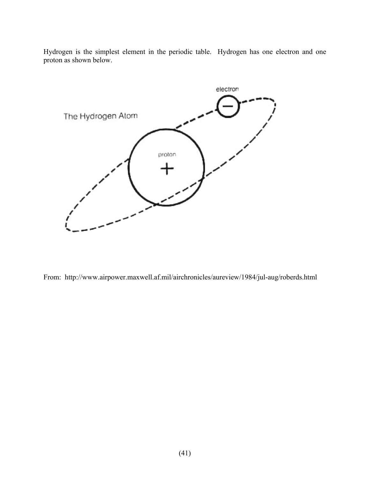Hydrogen is the simplest element in the periodic table. Hydrogen has one electron and one proton as shown below.



From: http://www.airpower.maxwell.af.mil/airchronicles/aureview/1984/jul-aug/roberds.html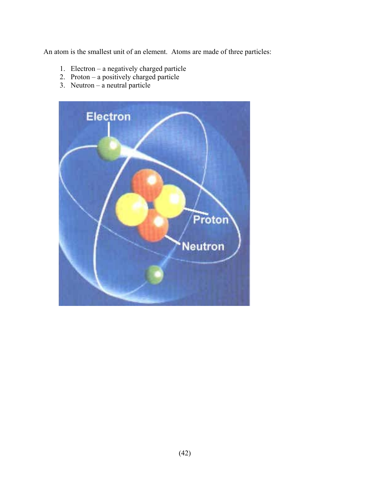An atom is the smallest unit of an element. Atoms are made of three particles:

- 1. Electron a negatively charged particle
- 2. Proton a positively charged particle
- 3. Neutron a neutral particle

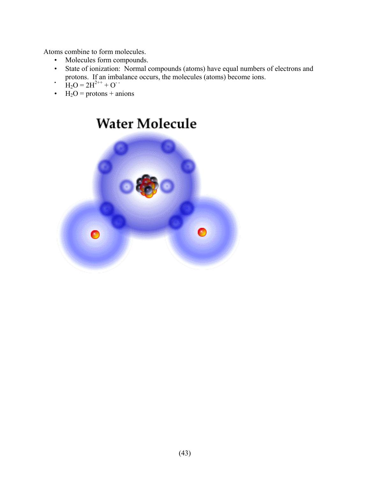Atoms combine to form molecules.

- Molecules form compounds.
- State of ionization: Normal compounds (atoms) have equal numbers of electrons and protons. If an imbalance occurs, the molecules (atoms) become ions.<br> $H_2O = 2H^{2++} + O^{-1}$
- 
- $H_2O =$  protons + anions

# **Water Molecule**

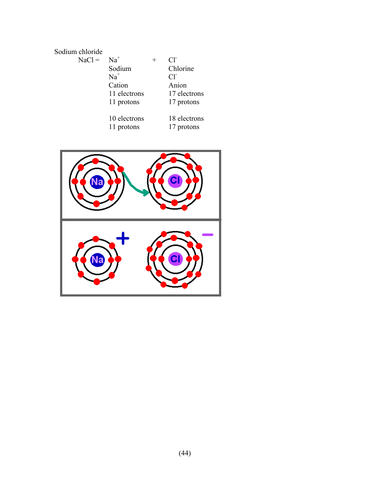### Sodium chloride

| $NaCl =$ | $Na+$        | CF             |
|----------|--------------|----------------|
|          | Sodium       | Chlorine       |
|          | $Na+$        | $Cl^{\dagger}$ |
|          | Cation       | Anion          |
|          | 11 electrons | 17 electrons   |
|          | 11 protons   | 17 protons     |
|          | 10 electrons | 18 electrons   |
|          | 11 protons   | 17 protons     |

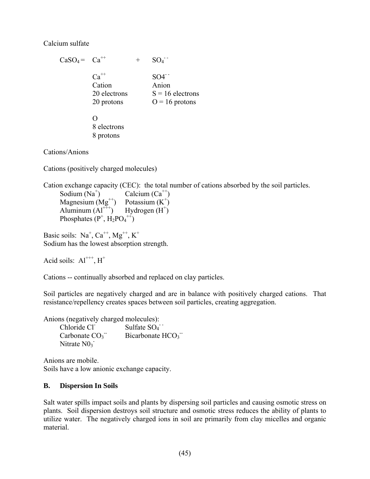### Calcium sulfate

 $CaSO_4 = Ca^{++}$  +  $SO<sub>4</sub>$  $Ca^{++}$  SO4<sup>--</sup> Cation Anion 20 electrons  $S = 16$  electrons 20 protons  $O = 16$  protons  $\Omega$  8 electrons 8 protons

Cations/Anions

Cations (positively charged molecules)

Cation exchange capacity (CEC): the total number of cations absorbed by the soil particles.

Sodium  $(Na^+)$ Calcium  $(Ca^{++})$ Magnesium  $(Mg^{++})$  Potassium  $(K^+)$ Aluminum  $(AI^{++})$  Hydrogen  $(H^+)$ Phosphates  $(P^+, H_2PO_4^{++})$ 

Basic soils:  $Na^+$ ,  $Ca^{++}$ ,  $Mg^{++}$ ,  $K^+$ Sodium has the lowest absorption strength.

Acid soils:  $Al^{+++}$ ,  $H^+$ 

Cations -- continually absorbed and replaced on clay particles.

Soil particles are negatively charged and are in balance with positively charged cations. That resistance/repellency creates spaces between soil particles, creating aggregation.

Anions (negatively charged molecules):

 Chloride Cl- Sulfate  $SO_4$ <sup>-</sup> Carbonate  $CO<sub>3</sub>$ <sup>-</sup> - Bicarbonate  $HCO<sub>3</sub>$ Nitrate  $N0<sub>3</sub>$ 

Anions are mobile. Soils have a low anionic exchange capacity.

### **B. Dispersion In Soils**

Salt water spills impact soils and plants by dispersing soil particles and causing osmotic stress on plants. Soil dispersion destroys soil structure and osmotic stress reduces the ability of plants to utilize water. The negatively charged ions in soil are primarily from clay micelles and organic material.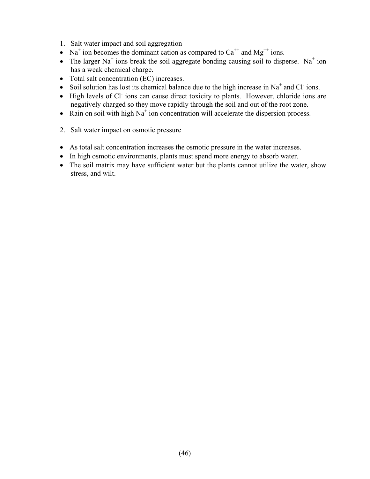- 1. Salt water impact and soil aggregation
- Na<sup>+</sup> ion becomes the dominant cation as compared to  $Ca^{++}$  and Mg<sup>++</sup> ions.
- The larger Na<sup>+</sup> ions break the soil aggregate bonding causing soil to disperse. Na<sup>+</sup> ion has a weak chemical charge.
- Total salt concentration (EC) increases.
- Soil solution has lost its chemical balance due to the high increase in Na<sup>+</sup> and Cl ions.
- High levels of Cl<sup>-</sup>ions can cause direct toxicity to plants. However, chloride ions are negatively charged so they move rapidly through the soil and out of the root zone.
- Rain on soil with high  $Na<sup>+</sup>$  ion concentration will accelerate the dispersion process.
- 2. Salt water impact on osmotic pressure
- As total salt concentration increases the osmotic pressure in the water increases.
- In high osmotic environments, plants must spend more energy to absorb water.
- The soil matrix may have sufficient water but the plants cannot utilize the water, show stress, and wilt.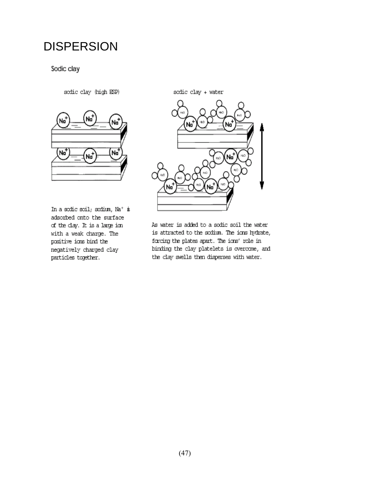# **DISPERSION**

Sodic clay

sodic clay (high ESP)



In a sodic soil; sodium,  $\text{Na}^+$  is adsorbed onto the surface of the clay. It is a large ion with a weak charge. The positive ions bind the negatively charged clay particles together.

sodic clay + water



As water is added to a sodic soil the water is attracted to the sodium. The ions hydrate, forcing the plates apart. The ions' role in binding the clay platelets is overcome, and the clay swells then disperses with water.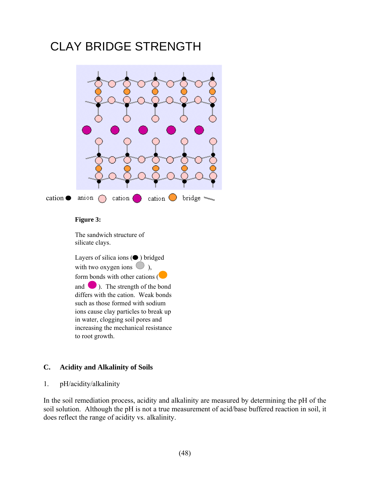# CLAY BRIDGE STRENGTH



#### **Figure 3:**

The sandwich structure of silicate clays.

Layers of silica ions  $(①)$  bridged with two oxygen ions  $\bigcirc$ ), form bonds with other cations ( and ). The strength of the bond differs with the cation. Weak bonds such as those formed with sodium ions cause clay particles to break up in water, clogging soil pores and increasing the mechanical resistance to root growth.

### **C. Acidity and Alkalinity of Soils**

#### 1. pH/acidity/alkalinity

In the soil remediation process, acidity and alkalinity are measured by determining the pH of the soil solution. Although the pH is not a true measurement of acid/base buffered reaction in soil, it does reflect the range of acidity vs. alkalinity.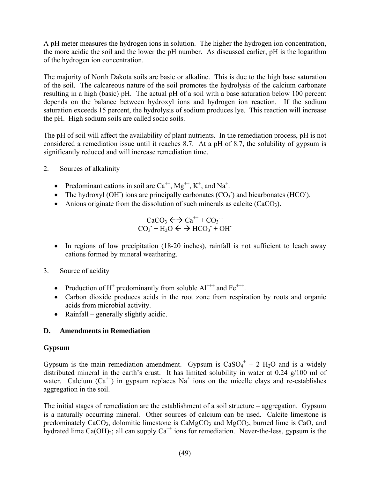A pH meter measures the hydrogen ions in solution. The higher the hydrogen ion concentration, the more acidic the soil and the lower the pH number. As discussed earlier, pH is the logarithm of the hydrogen ion concentration.

The majority of North Dakota soils are basic or alkaline. This is due to the high base saturation of the soil. The calcareous nature of the soil promotes the hydrolysis of the calcium carbonate resulting in a high (basic) pH. The actual pH of a soil with a base saturation below 100 percent depends on the balance between hydroxyl ions and hydrogen ion reaction. If the sodium saturation exceeds 15 percent, the hydrolysis of sodium produces lye. This reaction will increase the pH. High sodium soils are called sodic soils.

The pH of soil will affect the availability of plant nutrients. In the remediation process, pH is not considered a remediation issue until it reaches 8.7. At a pH of 8.7, the solubility of gypsum is significantly reduced and will increase remediation time.

- 2. Sources of alkalinity
	- Predominant cations in soil are  $Ca^{++}$ ,  $Mg^{++}$ ,  $K^+$ , and  $Na^+$ .
	- The hydroxyl (OH) ions are principally carbonates  $(CO<sub>3</sub>)$  and bicarbonates (HCO).
	- Anions originate from the dissolution of such minerals as calcite  $(CaCO<sub>3</sub>)$ .

$$
\text{CaCO}_3 \leftrightarrow \text{Ca}^{++} + \text{CO}_3^-
$$
  

$$
\text{CO}_3^- + \text{H}_2\text{O} \leftrightarrow \text{HCO}_3^- + \text{OH}^-
$$

- In regions of low precipitation (18-20 inches), rainfall is not sufficient to leach away cations formed by mineral weathering.
- 3. Source of acidity
	- Production of H<sup>+</sup> predominantly from soluble  $Al^{+++}$  and  $Fe^{+++}$ .
	- Carbon dioxide produces acids in the root zone from respiration by roots and organic acids from microbial activity.
	- Rainfall generally slightly acidic.

### **D. Amendments in Remediation**

### **Gypsum**

Gypsum is the main remediation amendment. Gypsum is  $CaSO_4^+ + 2 H_2O$  and is a widely distributed mineral in the earth's crust. It has limited solubility in water at 0.24 g/100 ml of water. Calcium  $(Ca^{++})$  in gypsum replaces Na<sup>+</sup> ions on the micelle clays and re-establishes aggregation in the soil.

The initial stages of remediation are the establishment of a soil structure – aggregation. Gypsum is a naturally occurring mineral. Other sources of calcium can be used. Calcite limestone is predominately  $CaCO<sub>3</sub>$ , dolomitic limestone is  $CaMgCO<sub>3</sub>$  and  $MgCO<sub>3</sub>$ , burned lime is CaO, and hydrated lime  $Ca(OH)_2$ ; all can supply  $Ca^{++}$  ions for remediation. Never-the-less, gypsum is the